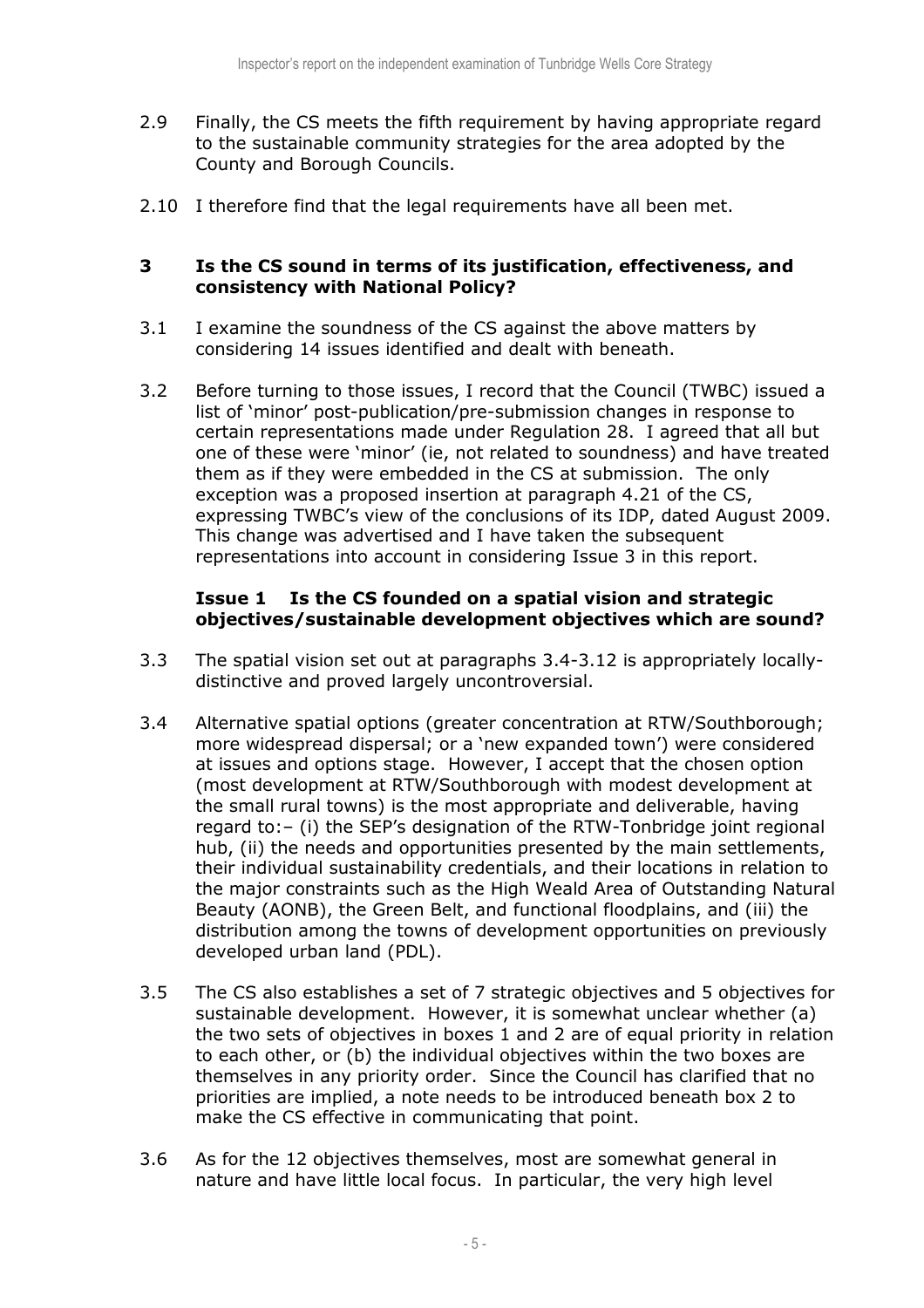- 2.9 Finally, the CS meets the fifth requirement by having appropriate regard to the sustainable community strategies for the area adopted by the County and Borough Councils.
- 2.10 I therefore find that the legal requirements have all been met.

## 3 Is the CS sound in terms of its justification, effectiveness, and consistency with National Policy?

- 3.1 I examine the soundness of the CS against the above matters by considering 14 issues identified and dealt with beneath.
- 3.2 Before turning to those issues, I record that the Council (TWBC) issued a list of 'minor' post-publication/pre-submission changes in response to certain representations made under Regulation 28. I agreed that all but one of these were 'minor' (ie, not related to soundness) and have treated them as if they were embedded in the CS at submission. The only exception was a proposed insertion at paragraph 4.21 of the CS, expressing TWBC's view of the conclusions of its IDP, dated August 2009. This change was advertised and I have taken the subsequent representations into account in considering Issue 3 in this report.

#### **Issue 1**  objectives/sustainable development objectives which are sound? Is the CS founded on a spatial vision and strategic

- 3.3 The spatial vision set out at paragraphs [3.4-3.12](https://3.4-3.12) is appropriately locally-distinctive and proved largely uncontroversial.
- 3.4 Alternative spatial options (greater concentration at RTW/Southborough; more widespread dispersal; or a 'new expanded town') were considered at issues and options stage. However, I accept that the chosen option (most development at RTW/Southborough with modest development at the small rural towns) is the most appropriate and deliverable, having regard to:– (i) the SEP's designation of the RTW-Tonbridge joint regional hub, (ii) the needs and opportunities presented by the main settlements, their individual sustainability credentials, and their locations in relation to the major constraints such as the High Weald Area of Outstanding Natural Beauty (AONB), the Green Belt, and functional floodplains, and (iii) the distribution among the towns of development opportunities on previously developed urban land (PDL).
- 3.5 The CS also establishes a set of 7 strategic objectives and 5 objectives for sustainable development. However, it is somewhat unclear whether (a) the two sets of objectives in boxes 1 and 2 are of equal priority in relation to each other, or (b) the individual objectives within the two boxes are themselves in any priority order. Since the Council has clarified that no priorities are implied, a note needs to be introduced beneath box 2 to make the CS effective in communicating that point.
- 3.6 As for the 12 objectives themselves, most are somewhat general in nature and have little local focus. In particular, the very high level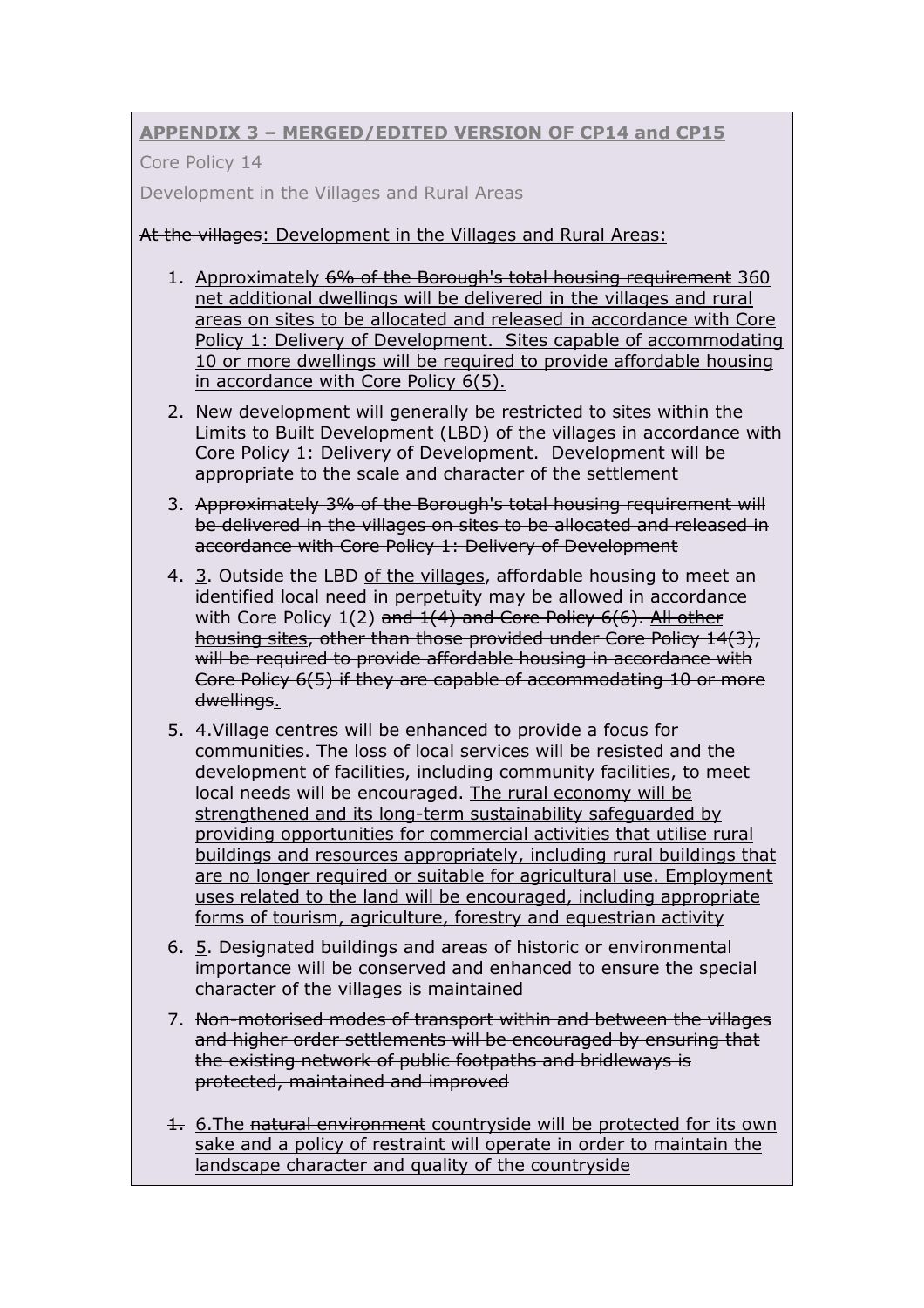# APPENDIX 3 – MERGED/EDITED VERSION OF CP14 and CP15

Core Policy 14

Development in the Villages and Rural Areas

# At the villages: Development in the Villages and Rural Areas:

- 1. Approximately 6% of the Borough's total housing requirement 360 net additional dwellings will be delivered in the villages and rural areas on sites to be allocated and released in accordance with Core Policy 1: Delivery of Development. Sites capable of accommodating 10 or more dwellings will be required to provide affordable housing in accordance with Core Policy 6(5).
- 2. New development will generally be restricted to sites within the Limits to Built Development (LBD) of the villages in accordance with Core Policy 1: Delivery of Development. Development will be appropriate to the scale and character of the settlement
- 3. Approximately 3% of the Borough's total housing requirement will be delivered in the villages on sites to be allocated and released in accordance with Core Policy 1: Delivery of Development
- 4. 3. Outside the LBD of the villages, affordable housing to meet an identified local need in perpetuity may be allowed in accordance with Core Policy 1(2) <del>and 1(4) and Core Policy 6(6). All other</del> housing sites, other than those provided under Core Policy 14(3), will be required to provide affordable housing in accordance with Core Policy 6(5) if they are capable of accommodating 10 or more dwellings.
- 5. 4. Village centres will be enhanced to provide a focus for communities. The loss of local services will be resisted and the development of facilities, including community facilities, to meet local needs will be encouraged. The rural economy will be strengthened and its long-term sustainability safeguarded by providing opportunities for commercial activities that utilise rural buildings and resources appropriately, including rural buildings that are no longer required or suitable for agricultural use. Employment uses related to the land will be encouraged, including appropriate forms of tourism, agriculture, forestry and equestrian activity
- 6. 5. Designated buildings and areas of historic or environmental importance will be conserved and enhanced to ensure the special character of the villages is maintained
- 7. Non-motorised modes of transport within and between the villages and higher order settlements will be encouraged by ensuring that the existing network of public footpaths and bridleways is protected, maintained and improved
- 1. 6. The natural environment countryside will be protected for its own sake and a policy of restraint will operate in order to maintain the landscape character and quality of the countryside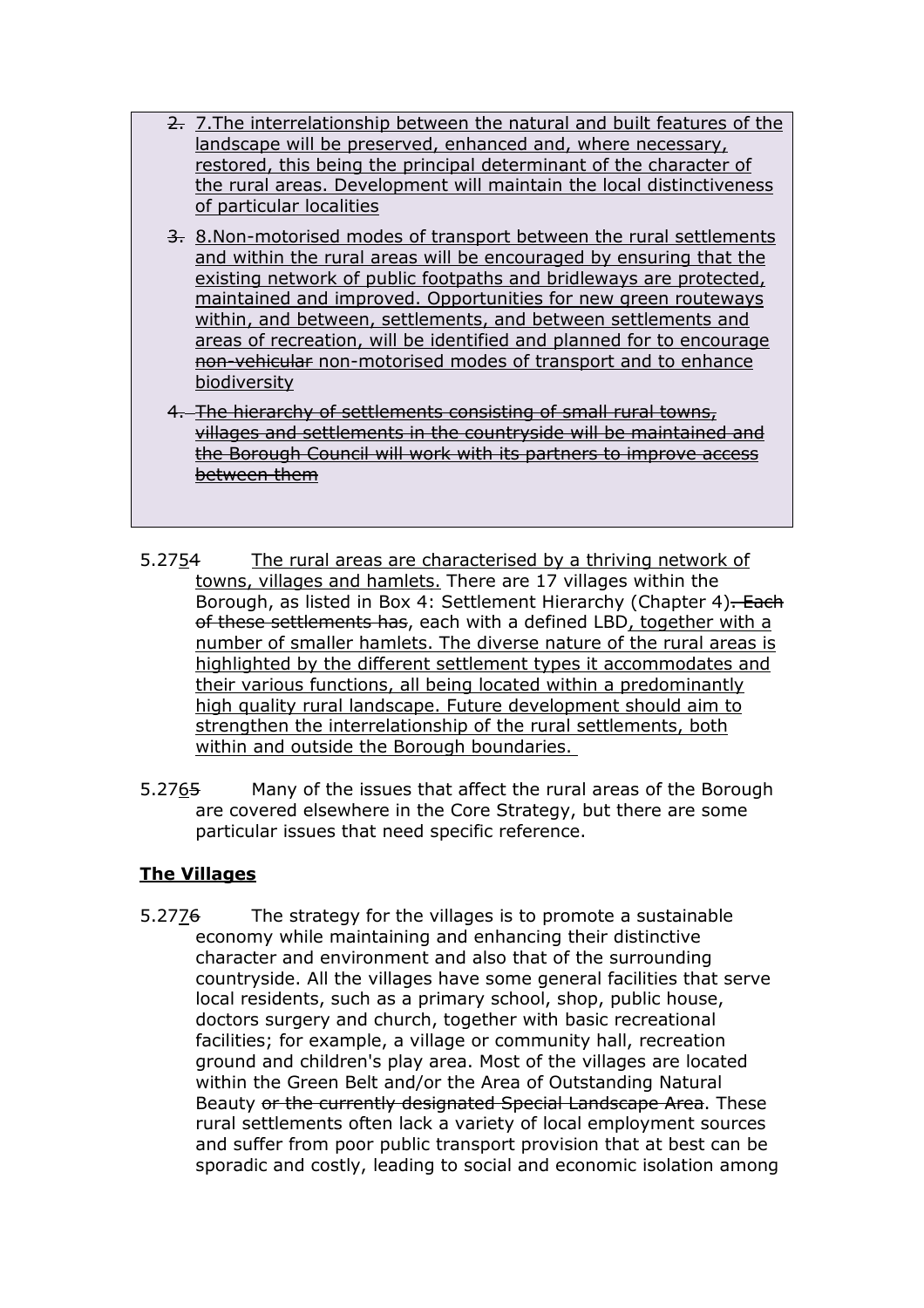- 2. 7.The interrelationship between the natural and built features of the landscape will be preserved, enhanced and, where necessary, restored, this being the principal determinant of the character of the rural areas. Development will maintain the local distinctiveness of particular localities
- 3. 8.Non-motorised modes of transport between the rural settlements and within the rural areas will be encouraged by ensuring that the existing network of public footpaths and bridleways are protected, maintained and improved. Opportunities for new green routeways within, and between, settlements, and between settlements and areas of recreation, will be identified and planned for to encourage non-vehicular non-motorised modes of transport and to enhance biodiversity
- 4. The hierarchy of settlements consisting of small rural towns, villages and settlements in the countryside will be maintained and the Borough Council will work with its partners to improve access between them
- 5.2754 towns, villages and hamlets. There are 17 villages within the Borough, as listed in Box 4: Settlement Hierarchy (Chapter 4)<del>. Each</del> <del>of these settlements has</del>, each with a defined LBD<u>, together with a</u> number of smaller hamlets. The diverse nature of the rural areas is highlighted by the different settlement types it accommodates and their various functions, all being located within a predominantly high quality rural landscape. Future development should aim to strengthen the interrelationship of the rural settlements, both within and outside the Borough boundaries. The rural areas are characterised by a thriving network of
- 5.2765 Many of the issues that affect the rural areas of the Borough are covered elsewhere in the Core Strategy, but there are some particular issues that need specific reference.

# The Villages

5.2776 economy while maintaining and enhancing their distinctive character and environment and also that of the surrounding countryside. All the villages have some general facilities that serve local residents, such as a primary school, shop, public house, doctors surgery and church, together with basic recreational facilities; for example, a village or community hall, recreation ground and children's play area. Most of the villages are located within the Green Belt and/or the Area of Outstanding Natural Beauty <del>or the currently designated Special Landscape Area</del>. These rural settlements often lack a variety of local employment sources and suffer from poor public transport provision that at best can be sporadic and costly, leading to social and economic isolation among The strategy for the villages is to promote a sustainable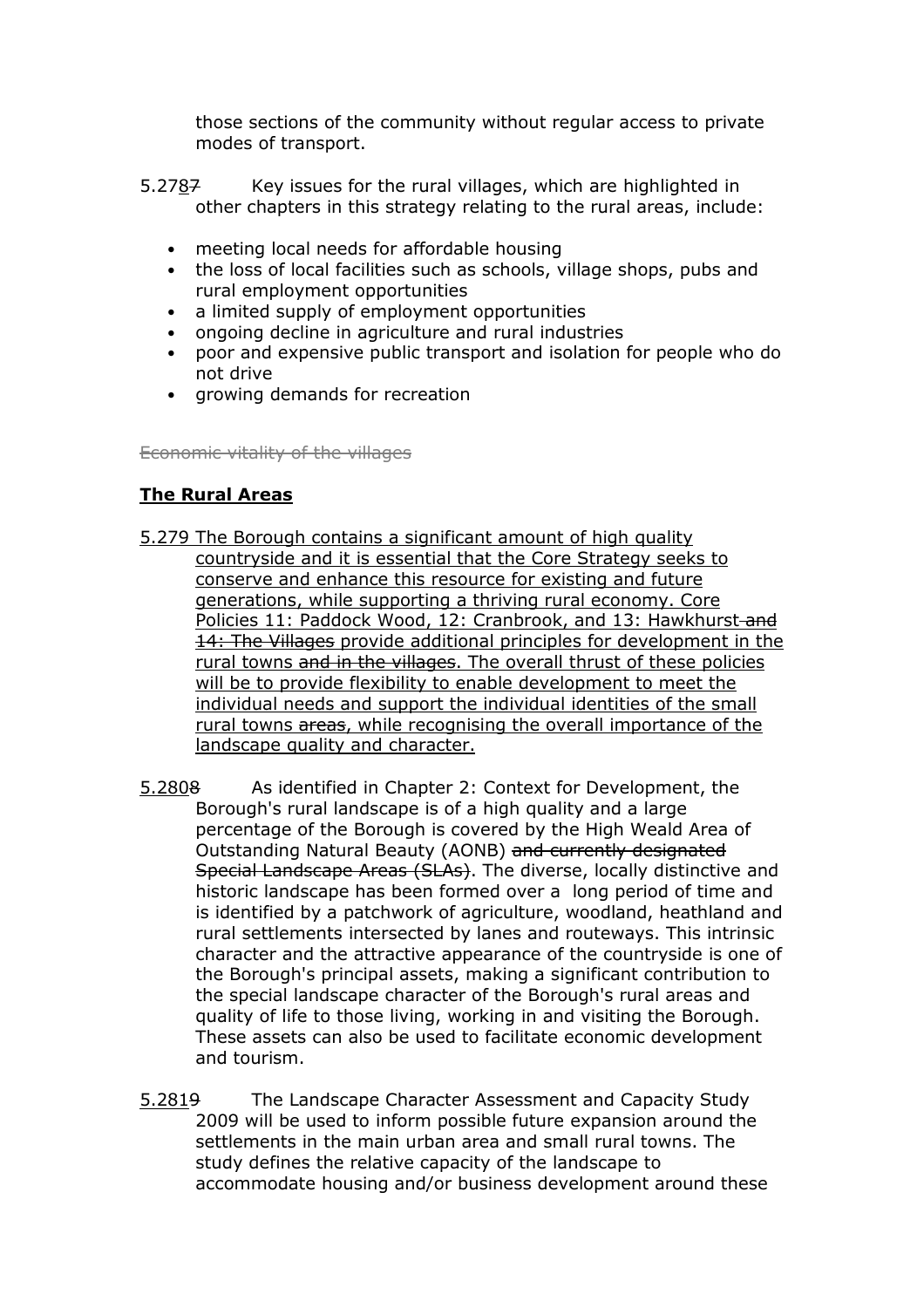those sections of the community without regular access to private modes of transport.

- 5.2787 other chapters in this strategy relating to the rural areas, include: Key issues for the rural villages, which are highlighted in
	- meeting local needs for affordable housing
	- • the loss of local facilities such as schools, village shops, pubs and rural employment opportunities
	- a limited supply of employment opportunities
	- ongoing decline in agriculture and rural industries
	- • poor and expensive public transport and isolation for people who do not drive
	- growing demands for recreation

Economic vitality of the villages

### The Rural Areas

- 5.279 The Borough contains a significant amount of high quality countryside and it is essential that the Core Strategy seeks to conserve and enhance this resource for existing and future generations, while supporting a thriving rural economy. Core Policies 11: Paddock Wood, 12: Cranbrook, and 13: Hawkhurst<del> and</del> 14: The Villages provide additional principles for development in the rural towns and in the villages. The overall thrust of these policies will be to provide flexibility to enable development to meet the individual needs and support the individual identities of the small rural towns areas, while recognising the overall importance of the landscape quality and character.
- 5.2808 Borough's rural landscape is of a high quality and a large percentage of the Borough is covered by the High Weald Area of Outstanding Natural Beauty (AONB) <del>and currently designated</del> Special Landscape Areas (SLAs). The diverse, locally distinctive and historic landscape has been formed over a long period of time and is identified by a patchwork of agriculture, woodland, heathland and rural settlements intersected by lanes and routeways. This intrinsic character and the attractive appearance of the countryside is one of the Borough's principal assets, making a significant contribution to the special landscape character of the Borough's rural areas and quality of life to those living, working in and visiting the Borough. These assets can also be used to facilitate economic development and tourism. As identified in Chapter 2: Context for Development, the
- 5.2819 The Landscape Character Assessment and Capacity Study 2009 will be used to inform possible future expansion around the settlements in the main urban area and small rural towns. The study defines the relative capacity of the landscape to accommodate housing and/or business development around these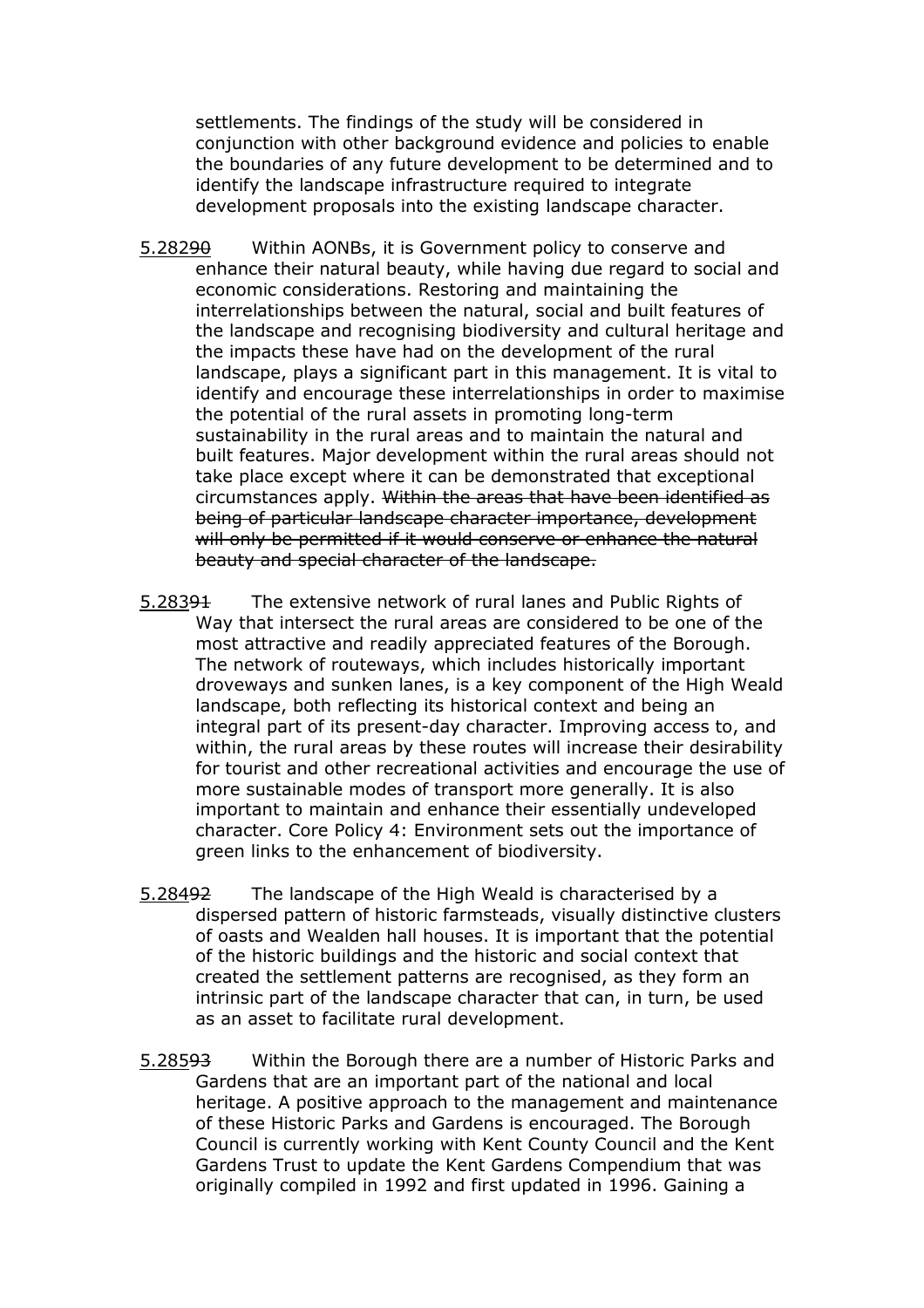settlements. The findings of the study will be considered in conjunction with other background evidence and policies to enable the boundaries of any future development to be determined and to identify the landscape infrastructure required to integrate development proposals into the existing landscape character.

- 5.28290 Within AONBs, it is Government policy to conserve and enhance their natural beauty, while having due regard to social and economic considerations. Restoring and maintaining the interrelationships between the natural, social and built features of the landscape and recognising biodiversity and cultural heritage and the impacts these have had on the development of the rural landscape, plays a significant part in this management. It is vital to identify and encourage these interrelationships in order to maximise the potential of the rural assets in promoting long-term sustainability in the rural areas and to maintain the natural and built features. Major development within the rural areas should not take place except where it can be demonstrated that exceptional circumstances apply. <del>Within the areas that have been identified as</del> being of particular landscape character importance, development will only be permitted if it would conserve or enhance the natural beauty and special character of the landscape.
- 5.28391 Way that intersect the rural areas are considered to be one of the most attractive and readily appreciated features of the Borough. The network of routeways, which includes historically important droveways and sunken lanes, is a key component of the High Weald landscape, both reflecting its historical context and being an integral part of its present-day character. Improving access to, and within, the rural areas by these routes will increase their desirability for tourist and other recreational activities and encourage the use of more sustainable modes of transport more generally. It is also important to maintain and enhance their essentially undeveloped character. Core Policy 4: Environment sets out the importance of green links to the enhancement of biodiversity. The extensive network of rural lanes and Public Rights of
- 5.28492 dispersed pattern of historic farmsteads, visually distinctive clusters of oasts and Wealden hall houses. It is important that the potential of the historic buildings and the historic and social context that created the settlement patterns are recognised, as they form an intrinsic part of the landscape character that can, in turn, be used as an asset to facilitate rural development. The landscape of the High Weald is characterised by a
- 5.28593 Within the Borough there are a number of Historic Parks and Gardens that are an important part of the national and local heritage. A positive approach to the management and maintenance of these Historic Parks and Gardens is encouraged. The Borough Council is currently working with Kent County Council and the Kent Gardens Trust to update the Kent Gardens Compendium that was originally compiled in 1992 and first updated in 1996. Gaining a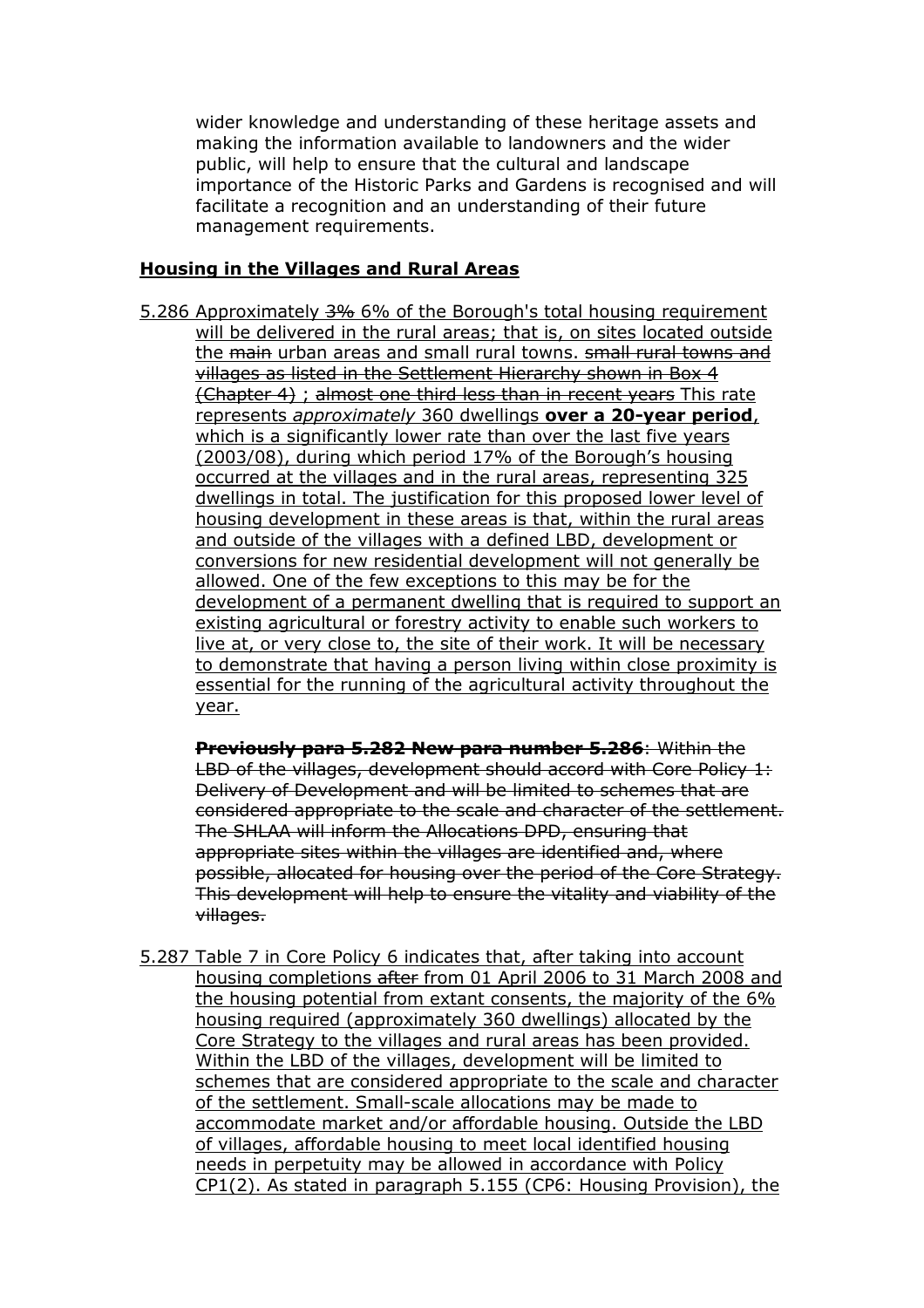wider knowledge and understanding of these heritage assets and making the information available to landowners and the wider public, will help to ensure that the cultural and landscape importance of the Historic Parks and Gardens is recognised and will facilitate a recognition and an understanding of their future management requirements.

#### Housing in the Villages and Rural Areas

5.286 Approximately 3% 6% of the Borough's total housing requirement will be delivered in the rural areas; that is, on sites located outside the <del>main</del> urban areas and small rural towns. <del>small rural towns and</del> villages as listed in the Settlement Hierarchy shown in Box 4 (Chapter 4) ; almost one third less than in recent years This rate represents *approximately* 360 dwellings **over a 20-year period**, which is a significantly lower rate than over the last five years (2003/08), during which period 17% of the Borough's housing occurred at the villages and in the rural areas, representing 325 dwellings in total. The justification for this proposed lower level of housing development in these areas is that, within the rural areas and outside of the villages with a defined LBD, development or conversions for new residential development will not generally be allowed. One of the few exceptions to this may be for the development of a permanent dwelling that is required to support an existing agricultural or forestry activity to enable such workers to live at, or very close to, the site of their work. It will be necessary to demonstrate that having a person living within close proximity is essential for the running of the agricultural activity throughout the year.

Previously para 5.282 New para number 5.286: Within the LBD of the villages, development should accord with Core Policy 1: Delivery of Development and will be limited to schemes that are considered appropriate to the scale and character of the settlement. The SHLAA will inform the Allocations DPD, ensuring that appropriate sites within the villages are identified and, where possible, allocated for housing over the period of the Core Strategy. This development will help to ensure the vitality and viability of the villages.

 5.287 Table 7 in Core Policy 6 indicates that, after taking into account housing completions after from 01 April 2006 to 31 March 2008 and the housing potential from extant consents, the majority of the 6% housing required (approximately 360 dwellings) allocated by the Core Strategy to the villages and rural areas has been provided. Within the LBD of the villages, development will be limited to schemes that are considered appropriate to the scale and character of the settlement. Small-scale allocations may be made to accommodate market and/or affordable housing. Outside the LBD of villages, affordable housing to meet local identified housing needs in perpetuity may be allowed in accordance with Policy CP1(2). As stated in paragraph 5.155 (CP6: Housing Provision), the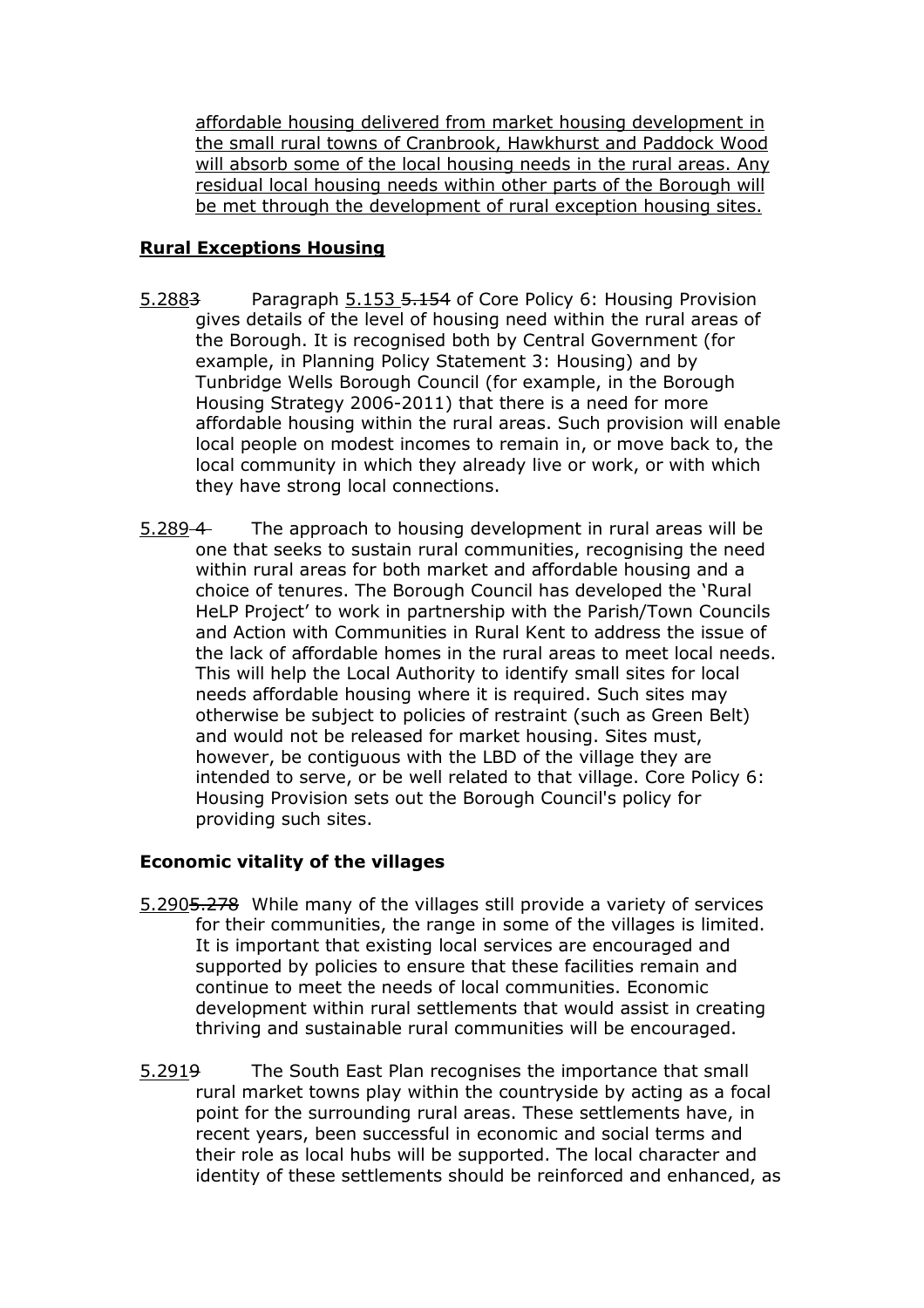affordable housing delivered from market housing development in the small rural towns of Cranbrook, Hawkhurst and Paddock Wood will absorb some of the local housing needs in the rural areas. Any residual local housing needs within other parts of the Borough will be met through the development of rural exception housing sites.

### Rural Exceptions Housing

- 5.2883 Paragraph 5.153 5.154 of Core Policy 6: Housing Provision gives details of the level of housing need within the rural areas of the Borough. It is recognised both by Central Government (for example, in Planning Policy Statement 3: Housing) and by Tunbridge Wells Borough Council (for example, in the Borough Housing Strategy 2006-2011) that there is a need for more affordable housing within the rural areas. Such provision will enable local people on modest incomes to remain in, or move back to, the local community in which they already live or work, or with which they have strong local connections.
- $5.289 4$  one that seeks to sustain rural communities, recognising the need within rural areas for both market and affordable housing and a choice of tenures. The Borough Council has developed the 'Rural HeLP Project' to work in partnership with the Parish/Town Councils and Action with Communities in Rural Kent to address the issue of the lack of affordable homes in the rural areas to meet local needs. This will help the Local Authority to identify small sites for local needs affordable housing where it is required. Such sites may otherwise be subject to policies of restraint (such as Green Belt) and would not be released for market housing. Sites must, however, be contiguous with the LBD of the village they are intended to serve, or be well related to that village. Core Policy 6: Housing Provision sets out the Borough Council's policy for providing such sites. The approach to housing development in rural areas will be

### Economic vitality of the villages

- 5.2905.278 While many of the villages still provide a variety of services for their communities, the range in some of the villages is limited. It is important that existing local services are encouraged and supported by policies to ensure that these facilities remain and continue to meet the needs of local communities. Economic development within rural settlements that would assist in creating thriving and sustainable rural communities will be encouraged.
- 5.2919 rural market towns play within the countryside by acting as a focal point for the surrounding rural areas. These settlements have, in recent years, been successful in economic and social terms and their role as local hubs will be supported. The local character and identity of these settlements should be reinforced and enhanced, as The South East Plan recognises the importance that small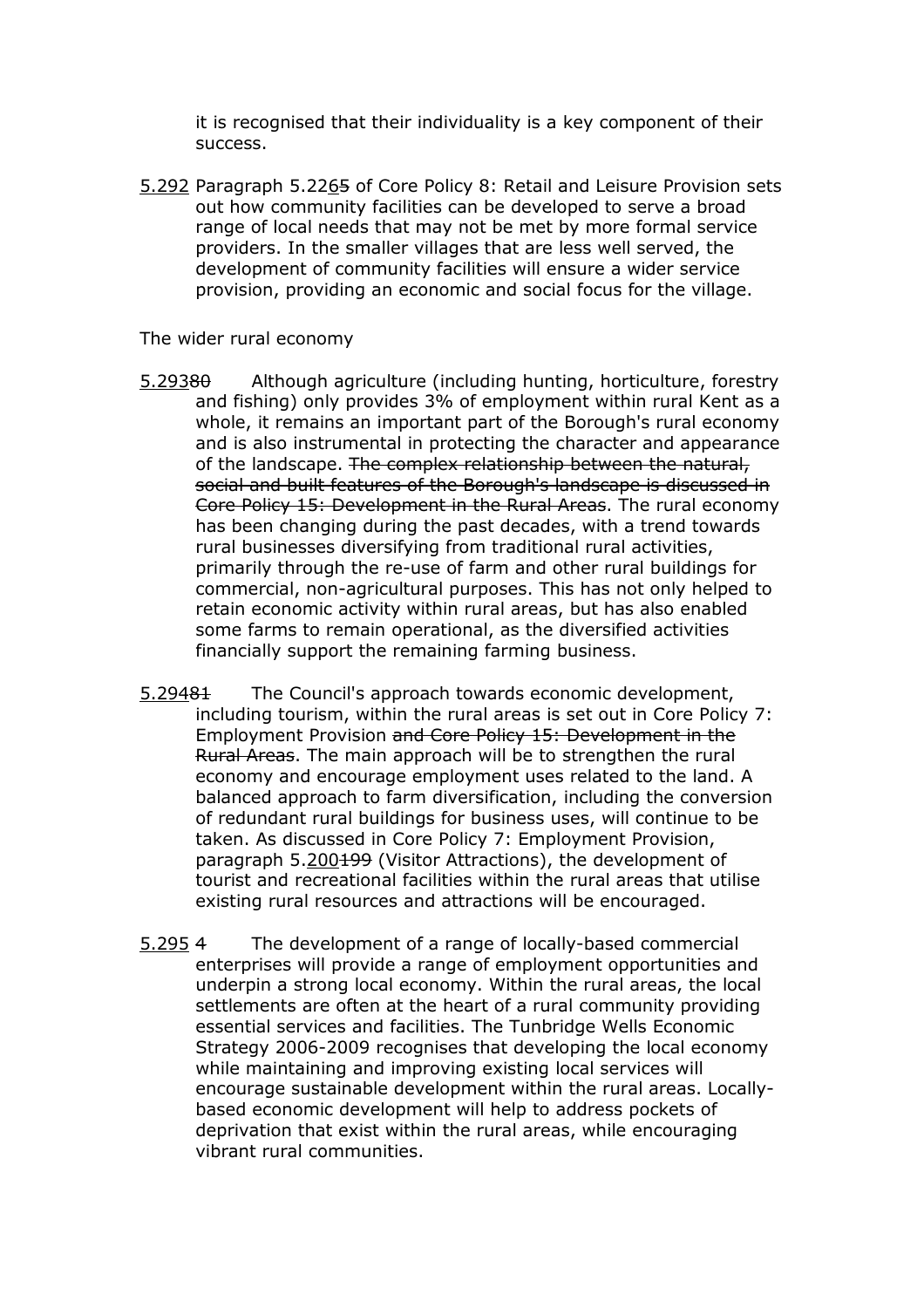it is recognised that their individuality is a key component of their success.

5.292 Paragraph 5.2265 of Core Policy 8: Retail and Leisure Provision sets out how community facilities can be developed to serve a broad range of local needs that may not be met by more formal service providers. In the smaller villages that are less well served, the development of community facilities will ensure a wider service provision, providing an economic and social focus for the village.

The wider rural economy

- 5.29380 Although agriculture (including hunting, horticulture, forestry and fishing) only provides 3% of employment within rural Kent as a whole, it remains an important part of the Borough's rural economy and is also instrumental in protecting the character and appearance of the landscape. <del>The complex relationship between the natural,</del> social and built features of the Borough's landscape is discussed in Core Policy 15: Development in the Rural Areas. The rural economy has been changing during the past decades, with a trend towards rural businesses diversifying from traditional rural activities, primarily through the re-use of farm and other rural buildings for commercial, non-agricultural purposes. This has not only helped to retain economic activity within rural areas, but has also enabled some farms to remain operational, as the diversified activities financially support the remaining farming business.
- 5.29481 including tourism, within the rural areas is set out in Core Policy 7: Employment Provision and Core Policy 15: Development in the Rural Areas. The main approach will be to strengthen the rural economy and encourage employment uses related to the land. A balanced approach to farm diversification, including the conversion of redundant rural buildings for business uses, will continue to be taken. As discussed in Core Policy 7: Employment Provision, paragraph 5.200<del>199</del> (Visitor Attractions), the development of tourist and recreational facilities within the rural areas that utilise existing rural resources and attractions will be encouraged. The Council's approach towards economic development,
- $5.2954$  enterprises will provide a range of employment opportunities and underpin a strong local economy. Within the rural areas, the local settlements are often at the heart of a rural community providing essential services and facilities. The Tunbridge Wells Economic Strategy 2006-2009 recognises that developing the local economy while maintaining and improving existing local services will encourage sustainable development within the rural areas. Locally- based economic development will help to address pockets of deprivation that exist within the rural areas, while encouraging vibrant rural communities. The development of a range of locally-based commercial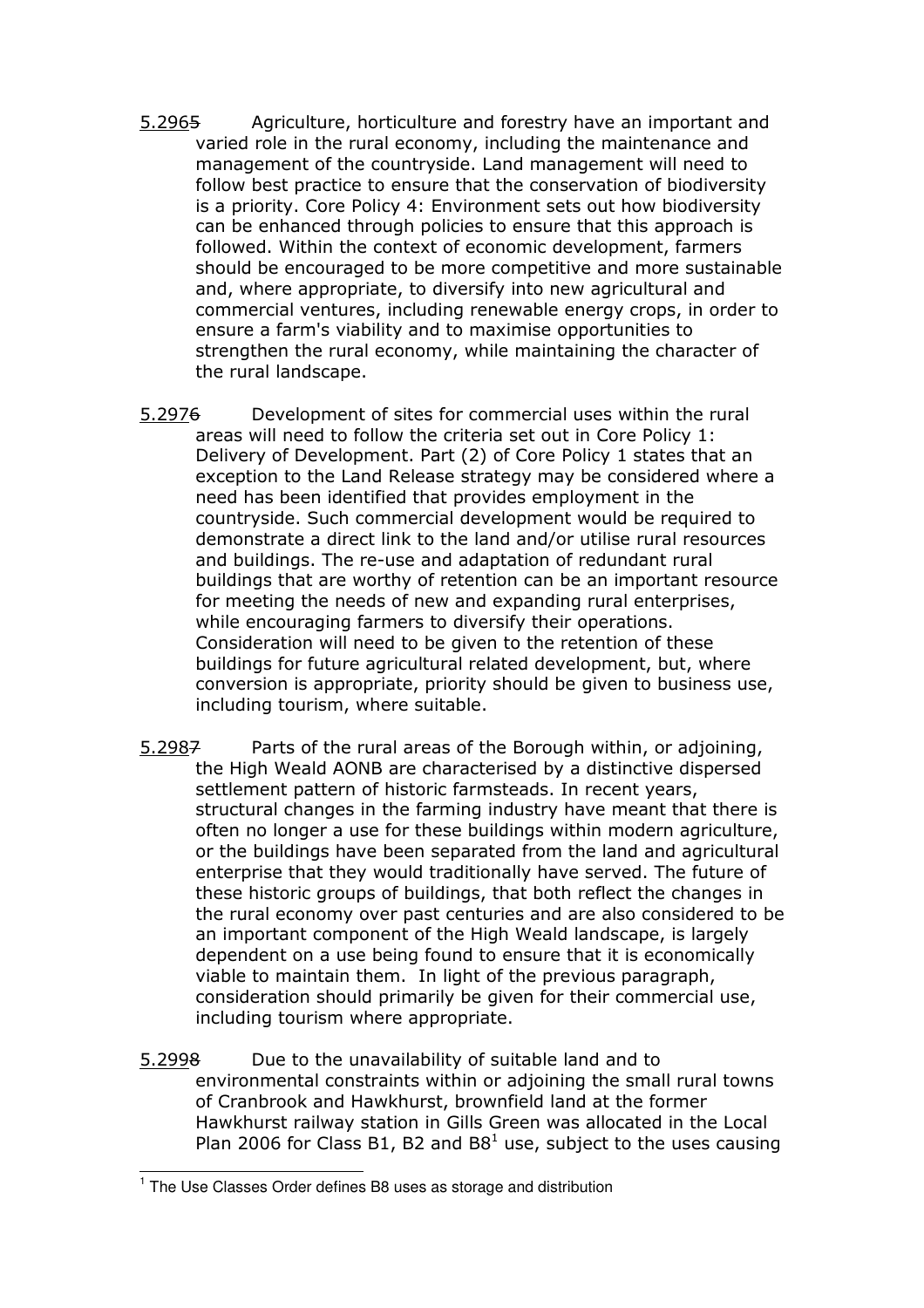- 5.2965 Agriculture, horticulture and forestry have an important and varied role in the rural economy, including the maintenance and management of the countryside. Land management will need to follow best practice to ensure that the conservation of biodiversity is a priority. Core Policy 4: Environment sets out how biodiversity can be enhanced through policies to ensure that this approach is followed. Within the context of economic development, farmers should be encouraged to be more competitive and more sustainable and, where appropriate, to diversify into new agricultural and commercial ventures, including renewable energy crops, in order to ensure a farm's viability and to maximise opportunities to strengthen the rural economy, while maintaining the character of the rural landscape.
- 5.2976 Development of sites for commercial uses within the rural areas will need to follow the criteria set out in Core Policy 1: Delivery of Development. Part (2) of Core Policy 1 states that an exception to the Land Release strategy may be considered where a need has been identified that provides employment in the countryside. Such commercial development would be required to demonstrate a direct link to the land and/or utilise rural resources and buildings. The re-use and adaptation of redundant rural buildings that are worthy of retention can be an important resource for meeting the needs of new and expanding rural enterprises, while encouraging farmers to diversify their operations. Consideration will need to be given to the retention of these buildings for future agricultural related development, but, where conversion is appropriate, priority should be given to business use, including tourism, where suitable.
- 5.2987 Parts of the rural areas of the Borough within, or adjoining, the High Weald AONB are characterised by a distinctive dispersed settlement pattern of historic farmsteads. In recent years, structural changes in the farming industry have meant that there is often no longer a use for these buildings within modern agriculture, or the buildings have been separated from the land and agricultural enterprise that they would traditionally have served. The future of these historic groups of buildings, that both reflect the changes in the rural economy over past centuries and are also considered to be an important component of the High Weald landscape, is largely dependent on a use being found to ensure that it is economically viable to maintain them. In light of the previous paragraph, consideration should primarily be given for their commercial use, including tourism where appropriate.
- 5.2998 environmental constraints within or adjoining the small rural towns of Cranbrook and Hawkhurst, brownfield land at the former Hawkhurst railway station in Gills Green was allocated in the Local Plan 2006 for Class B1, B2 and B8<sup>1</sup> use, subject to the uses causing Due to the unavailability of suitable land and to

j

 $1$  The Use Classes Order defines B8 uses as storage and distribution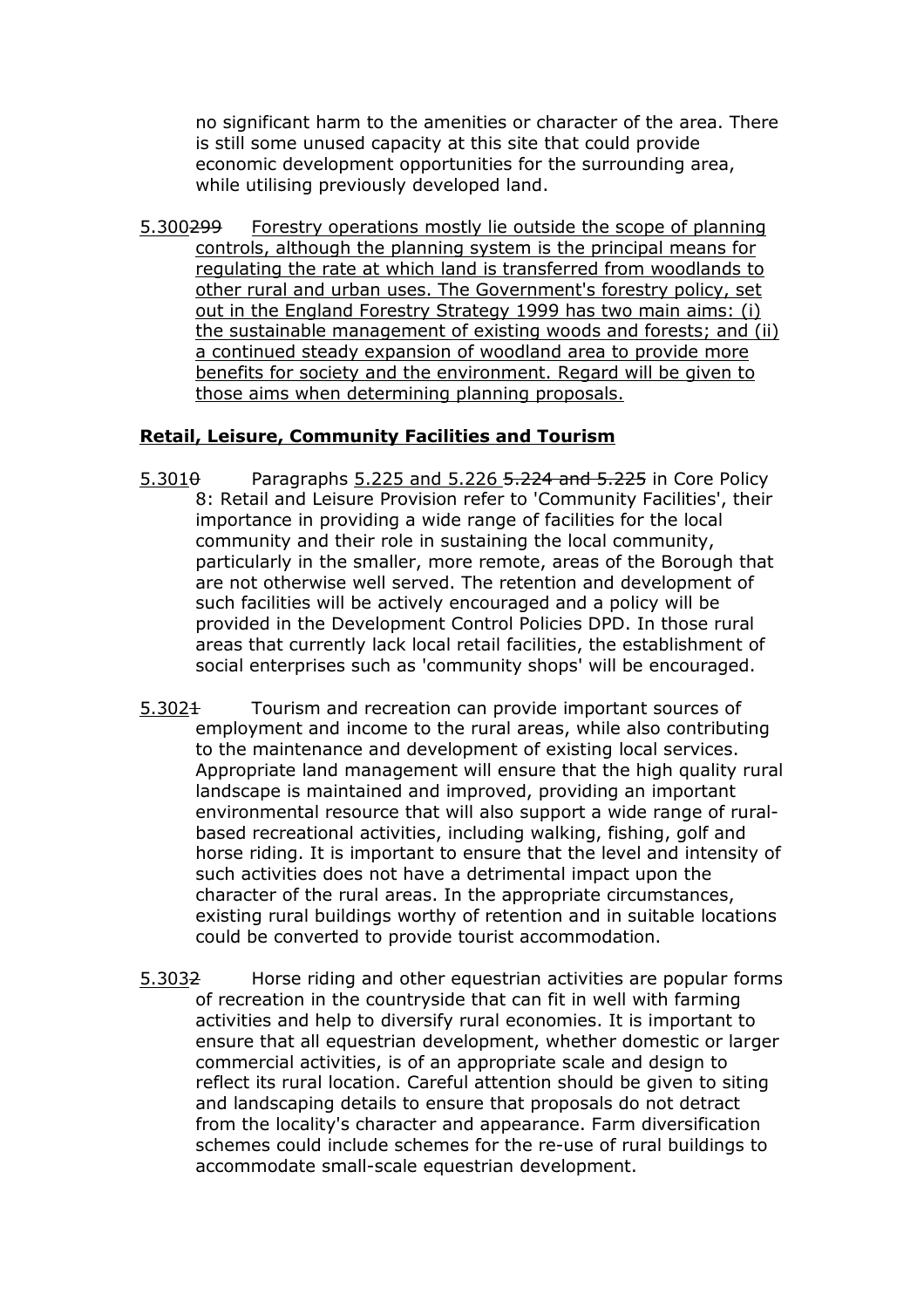no significant harm to the amenities or character of the area. There is still some unused capacity at this site that could provide economic development opportunities for the surrounding area, while utilising previously developed land.

 5.300299 Forestry operations mostly lie outside the scope of planning controls, although the planning system is the principal means for regulating the rate at which land is transferred from woodlands to other rural and urban uses. The Government's forestry policy, set out in the England Forestry Strategy 1999 has two main aims: (i) the sustainable management of existing woods and forests; and (ii) a continued steady expansion of woodland area to provide more benefits for society and the environment. Regard will be given to those aims when determining planning proposals.

#### Retail, Leisure, Community Facilities and Tourism

- $5.301\theta$  Paragraphs  $5.225$  and  $5.226$   $5.224$  and  $5.225$  in Core Policy 8: Retail and Leisure Provision refer to 'Community Facilities', their importance in providing a wide range of facilities for the local community and their role in sustaining the local community, particularly in the smaller, more remote, areas of the Borough that are not otherwise well served. The retention and development of such facilities will be actively encouraged and a policy will be provided in the Development Control Policies DPD. In those rural areas that currently lack local retail facilities, the establishment of social enterprises such as 'community shops' will be encouraged.
- 5.3024 Tourism and recreation can provide important sources of employment and income to the rural areas, while also contributing to the maintenance and development of existing local services. Appropriate land management will ensure that the high quality rural landscape is maintained and improved, providing an important environmental resource that will also support a wide range of rural- based recreational activities, including walking, fishing, golf and horse riding. It is important to ensure that the level and intensity of such activities does not have a detrimental impact upon the character of the rural areas. In the appropriate circumstances, existing rural buildings worthy of retention and in suitable locations could be converted to provide tourist accommodation.
- 5.3032 Horse riding and other equestrian activities are popular forms of recreation in the countryside that can fit in well with farming activities and help to diversify rural economies. It is important to ensure that all equestrian development, whether domestic or larger commercial activities, is of an appropriate scale and design to reflect its rural location. Careful attention should be given to siting and landscaping details to ensure that proposals do not detract from the locality's character and appearance. Farm diversification schemes could include schemes for the re-use of rural buildings to accommodate small-scale equestrian development.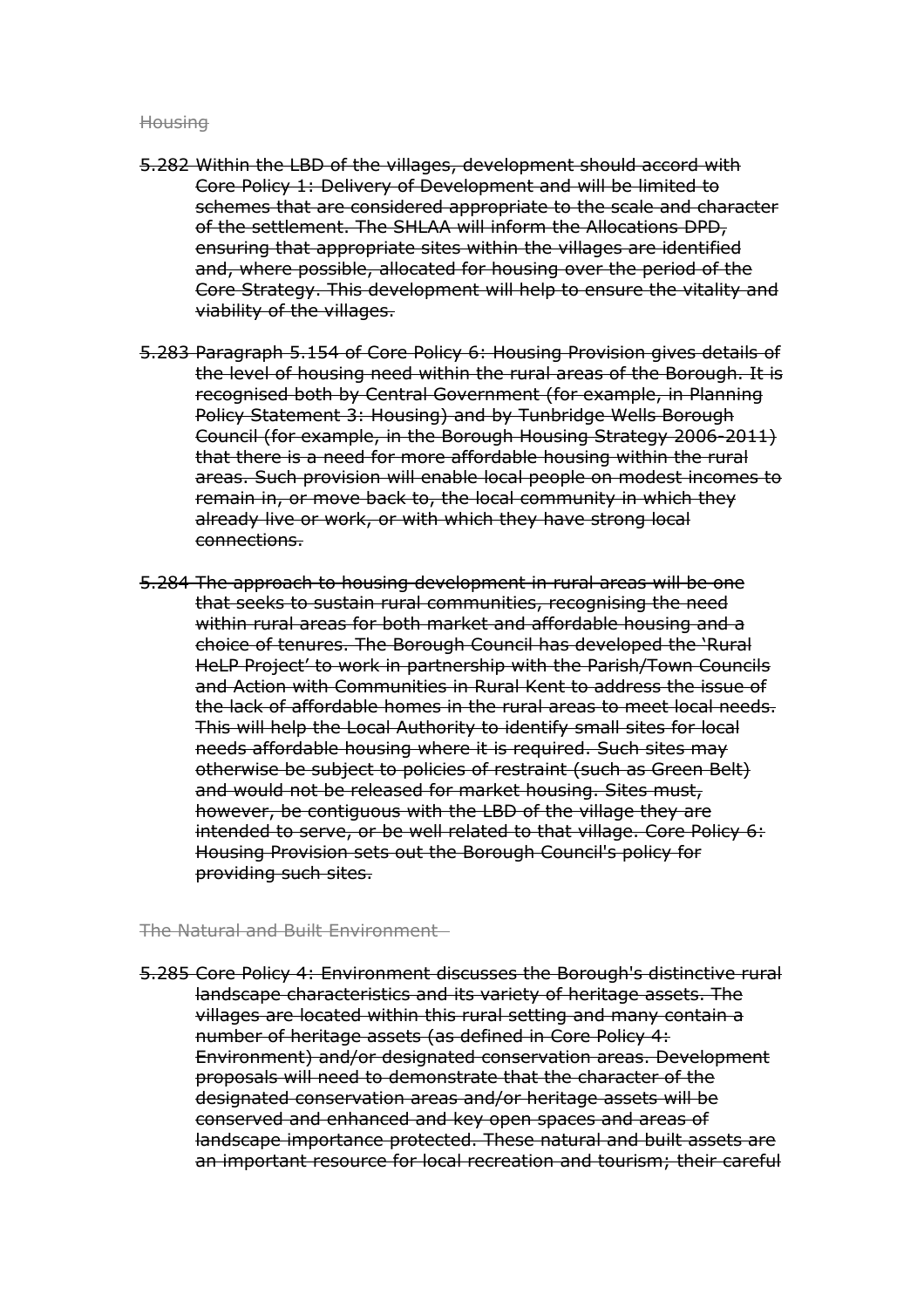#### **Housing**

- 5.282 Within the LBD of the villages, development should accord with Core Policy 1: Delivery of Development and will be limited to schemes that are considered appropriate to the scale and character of the settlement. The SHLAA will inform the Allocations DPD, ensuring that appropriate sites within the villages are identified and, where possible, allocated for housing over the period of the Core Strategy. This development will help to ensure the vitality and viability of the villages.
- 5.283 Paragraph 5.154 of Core Policy 6: Housing Provision gives details of the level of housing need within the rural areas of the Borough. It is recognised both by Central Government (for example, in Planning Policy Statement 3: Housing) and by Tunbridge Wells Borough Council (for example, in the Borough Housing Strategy 2006-2011) that there is a need for more affordable housing within the rural areas. Such provision will enable local people on modest incomes to remain in, or move back to, the local community in which they already live or work, or with which they have strong local connections.
- 5.284 The approach to housing development in rural areas will be one that seeks to sustain rural communities, recognising the need within rural areas for both market and affordable housing and a choice of tenures. The Borough Council has developed the 'Rural HeLP Project' to work in partnership with the Parish/Town Councils and Action with Communities in Rural Kent to address the issue of the lack of affordable homes in the rural areas to meet local needs. This will help the Local Authority to identify small sites for local needs affordable housing where it is required. Such sites may otherwise be subject to policies of restraint (such as Green Belt) and would not be released for market housing. Sites must, however, be contiguous with the LBD of the village they are intended to serve, or be well related to that village. Core Policy 6: Housing Provision sets out the Borough Council's policy for providing such sites.

#### The Natural and Built Environment

 5.285 Core Policy 4: Environment discusses the Borough's distinctive rural landscape characteristics and its variety of heritage assets. The villages are located within this rural setting and many contain a number of heritage assets (as defined in Core Policy 4: Environment) and/or designated conservation areas. Development proposals will need to demonstrate that the character of the designated conservation areas and/or heritage assets will be conserved and enhanced and key open spaces and areas of landscape importance protected. These natural and built assets are an important resource for local recreation and tourism; their careful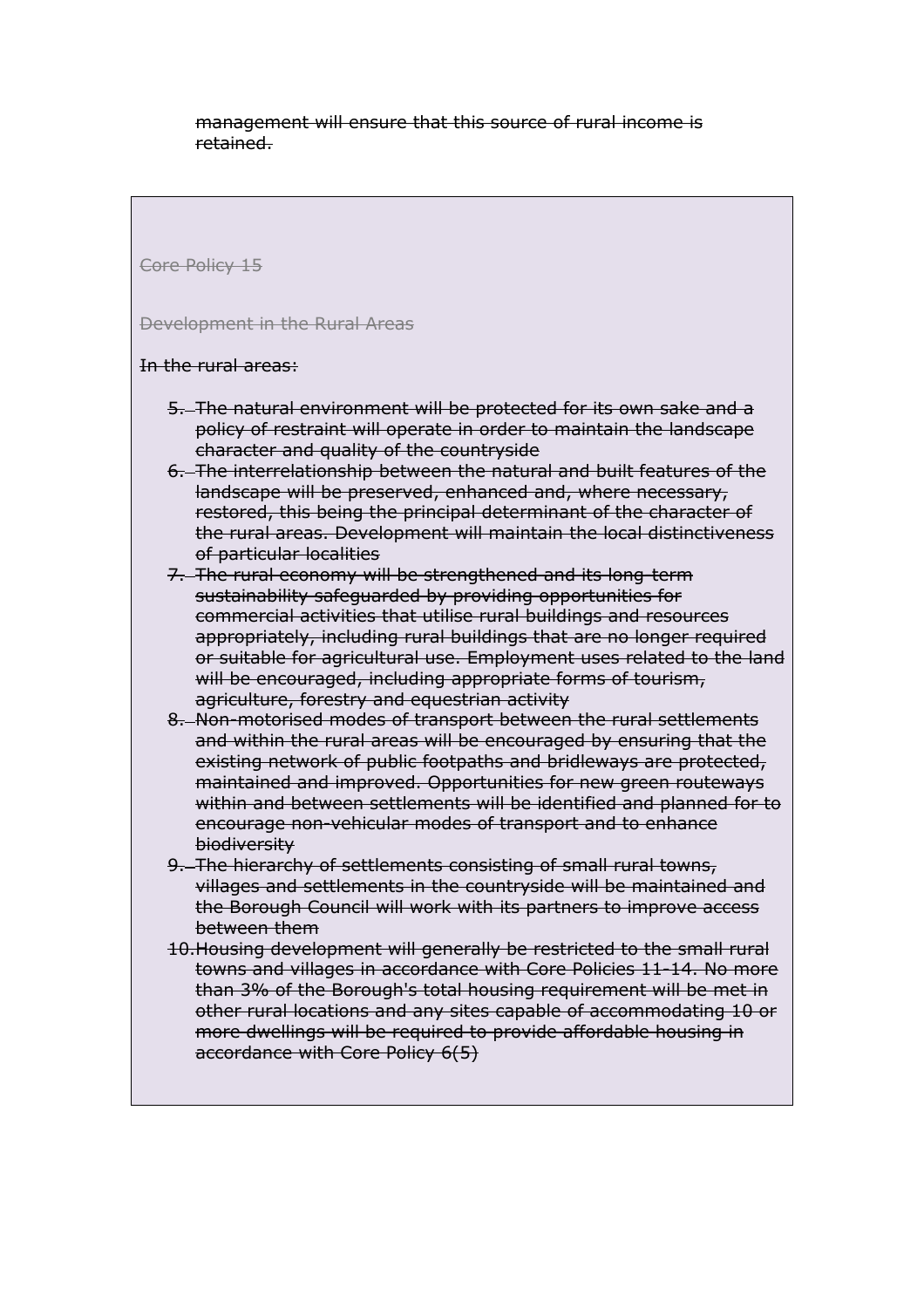management will ensure that this source of rural income is retained.

Core Policy 15

Development in the Rural Areas

In the rural areas:

- 5. The natural environment will be protected for its own sake and a policy of restraint will operate in order to maintain the landscape character and quality of the countryside
- 6. The interrelationship between the natural and built features of the landscape will be preserved, enhanced and, where necessary, restored, this being the principal determinant of the character of the rural areas. Development will maintain the local distinctiveness of particular localities
- 7. The rural economy will be strengthened and its long-term sustainability safeguarded by providing opportunities for commercial activities that utilise rural buildings and resources appropriately, including rural buildings that are no longer required or suitable for agricultural use. Employment uses related to the land will be encouraged, including appropriate forms of tourism, agriculture, forestry and equestrian activity
- 8. Non-motorised modes of transport between the rural settlements and within the rural areas will be encouraged by ensuring that the existing network of public footpaths and bridleways are protected, maintained and improved. Opportunities for new green routeways within and between settlements will be identified and planned for to encourage non-vehicular modes of transport and to enhance biodiversity
- 9. The hierarchy of settlements consisting of small rural towns, villages and settlements in the countryside will be maintained and the Borough Council will work with its partners to improve access between them
- 10.Housing development will generally be restricted to the small rural towns and villages in accordance with Core Policies 11-14. No more than 3% of the Borough's total housing requirement will be met in other rural locations and any sites capable of accommodating 10 or more dwellings will be required to provide affordable housing in accordance with Core Policy 6(5)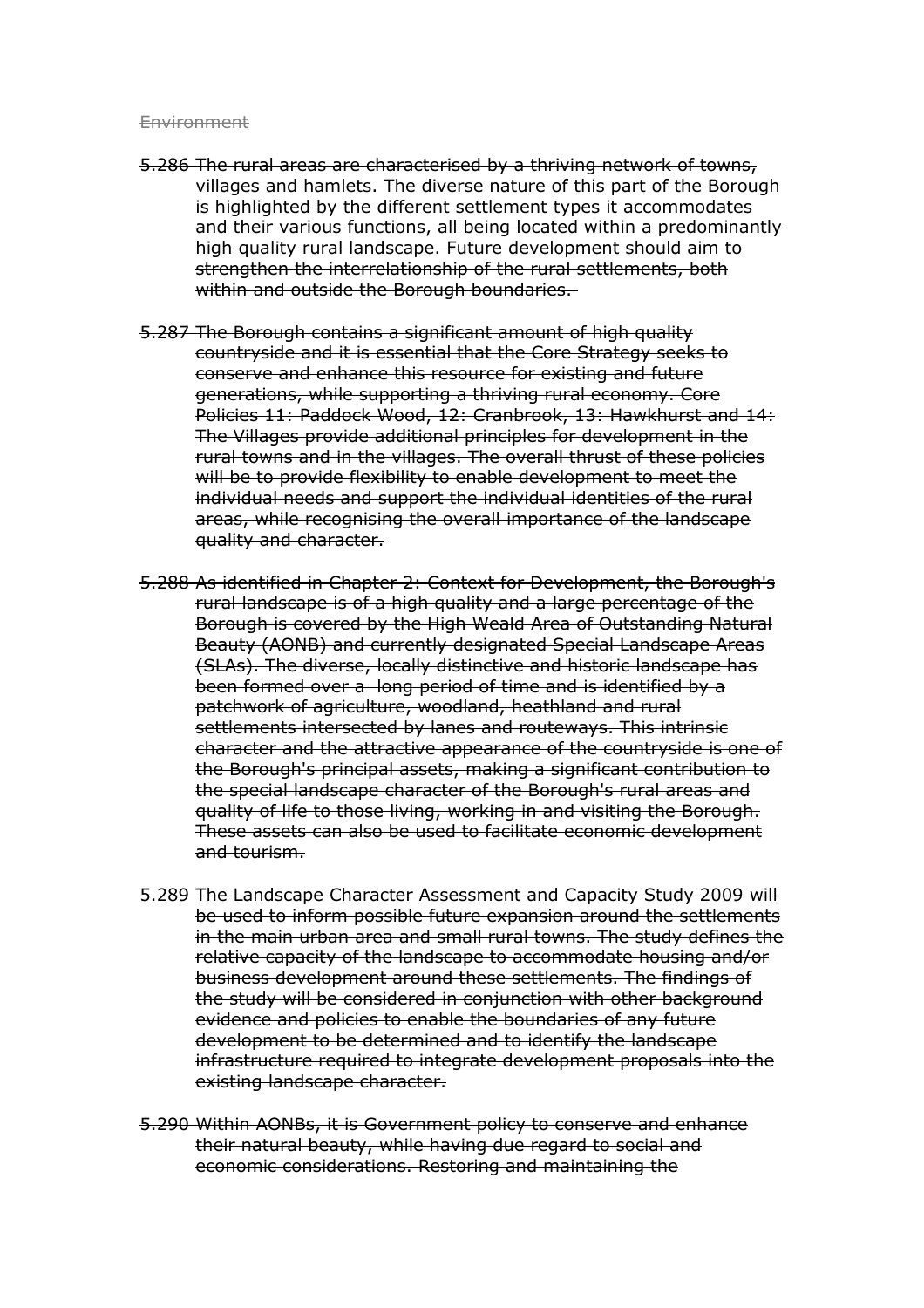#### **Environment**

- 5.286 The rural areas are characterised by a thriving network of towns, villages and hamlets. The diverse nature of this part of the Borough is highlighted by the different settlement types it accommodates and their various functions, all being located within a predominantly high quality rural landscape. Future development should aim to strengthen the interrelationship of the rural settlements, both within and outside the Borough boundaries.
- 5.287 The Borough contains a significant amount of high quality countryside and it is essential that the Core Strategy seeks to conserve and enhance this resource for existing and future generations, while supporting a thriving rural economy. Core Policies 11: Paddock Wood, 12: Cranbrook, 13: Hawkhurst and 14: The Villages provide additional principles for development in the rural towns and in the villages. The overall thrust of these policies will be to provide flexibility to enable development to meet the individual needs and support the individual identities of the rural areas, while recognising the overall importance of the landscape quality and character.
- 5.288 As identified in Chapter 2: Context for Development, the Borough's rural landscape is of a high quality and a large percentage of the Borough is covered by the High Weald Area of Outstanding Natural Beauty (AONB) and currently designated Special Landscape Areas (SLAs). The diverse, locally distinctive and historic landscape has been formed over a long period of time and is identified by a patchwork of agriculture, woodland, heathland and rural settlements intersected by lanes and routeways. This intrinsic character and the attractive appearance of the countryside is one of the Borough's principal assets, making a significant contribution to the special landscape character of the Borough's rural areas and quality of life to those living, working in and visiting the Borough. These assets can also be used to facilitate economic development and tourism.
- 5.289 The Landscape Character Assessment and Capacity Study 2009 will be used to inform possible future expansion around the settlements in the main urban area and small rural towns. The study defines the relative capacity of the landscape to accommodate housing and/or business development around these settlements. The findings of the study will be considered in conjunction with other background evidence and policies to enable the boundaries of any future development to be determined and to identify the landscape infrastructure required to integrate development proposals into the existing landscape character.
- 5.290 Within AONBs, it is Government policy to conserve and enhance their natural beauty, while having due regard to social and economic considerations. Restoring and maintaining the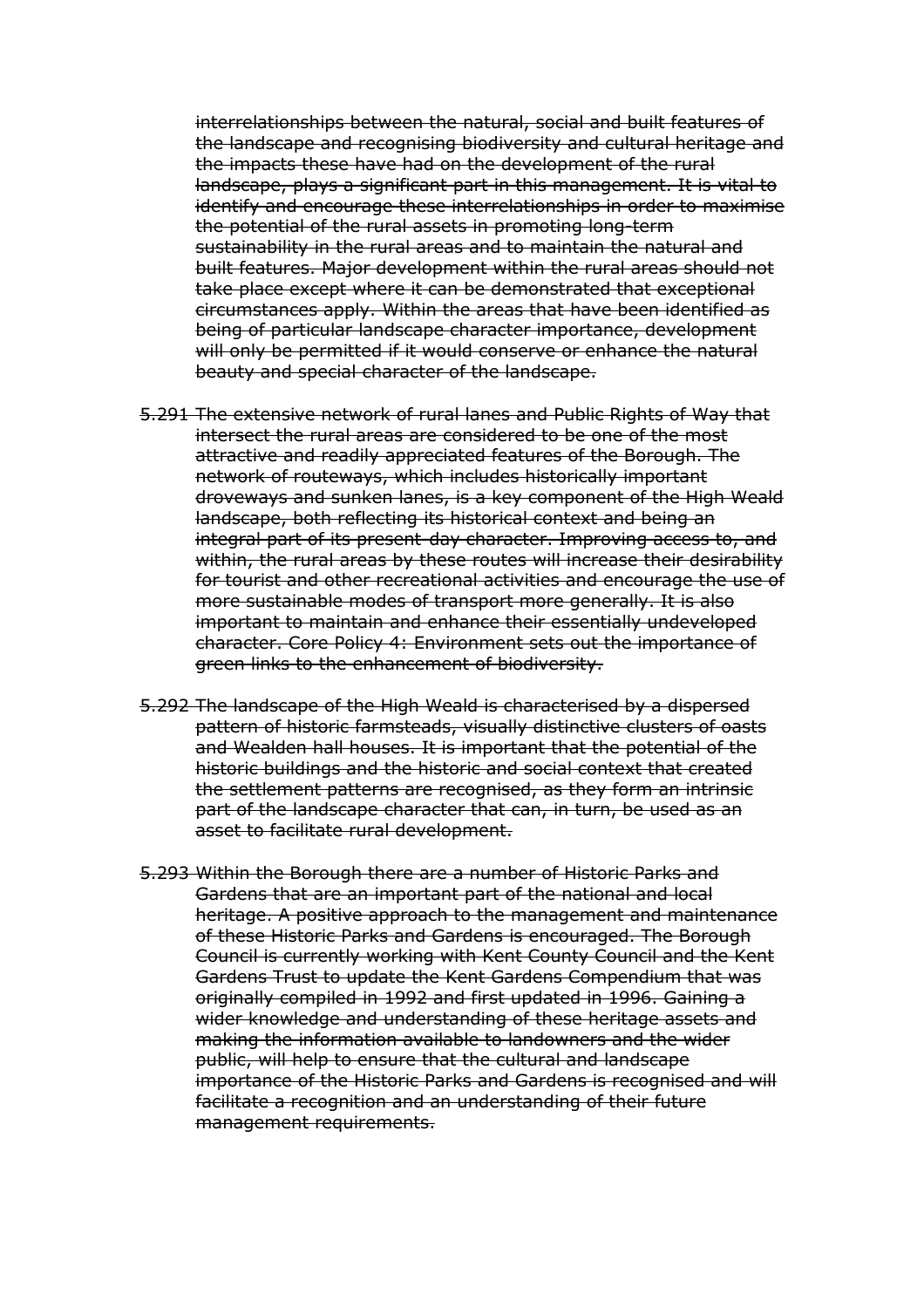interrelationships between the natural, social and built features of the landscape and recognising biodiversity and cultural heritage and the impacts these have had on the development of the rural landscape, plays a significant part in this management. It is vital to identify and encourage these interrelationships in order to maximise the potential of the rural assets in promoting long-term sustainability in the rural areas and to maintain the natural and built features. Major development within the rural areas should not take place except where it can be demonstrated that exceptional circumstances apply. Within the areas that have been identified as being of particular landscape character importance, development will only be permitted if it would conserve or enhance the natural beauty and special character of the landscape.

- 5.291 The extensive network of rural lanes and Public Rights of Way that intersect the rural areas are considered to be one of the most attractive and readily appreciated features of the Borough. The network of routeways, which includes historically important droveways and sunken lanes, is a key component of the High Weald landscape, both reflecting its historical context and being an integral part of its present-day character. Improving access to, and within, the rural areas by these routes will increase their desirability for tourist and other recreational activities and encourage the use of more sustainable modes of transport more generally. It is also important to maintain and enhance their essentially undeveloped character. Core Policy 4: Environment sets out the importance of green links to the enhancement of biodiversity.
- 5.292 The landscape of the High Weald is characterised by a dispersed pattern of historic farmsteads, visually distinctive clusters of oasts and Wealden hall houses. It is important that the potential of the historic buildings and the historic and social context that created the settlement patterns are recognised, as they form an intrinsic part of the landscape character that can, in turn, be used as an asset to facilitate rural development.
- 5.293 Within the Borough there are a number of Historic Parks and Gardens that are an important part of the national and local heritage. A positive approach to the management and maintenance of these Historic Parks and Gardens is encouraged. The Borough Council is currently working with Kent County Council and the Kent Gardens Trust to update the Kent Gardens Compendium that was originally compiled in 1992 and first updated in 1996. Gaining a wider knowledge and understanding of these heritage assets and making the information available to landowners and the wider public, will help to ensure that the cultural and landscape importance of the Historic Parks and Gardens is recognised and will facilitate a recognition and an understanding of their future management requirements.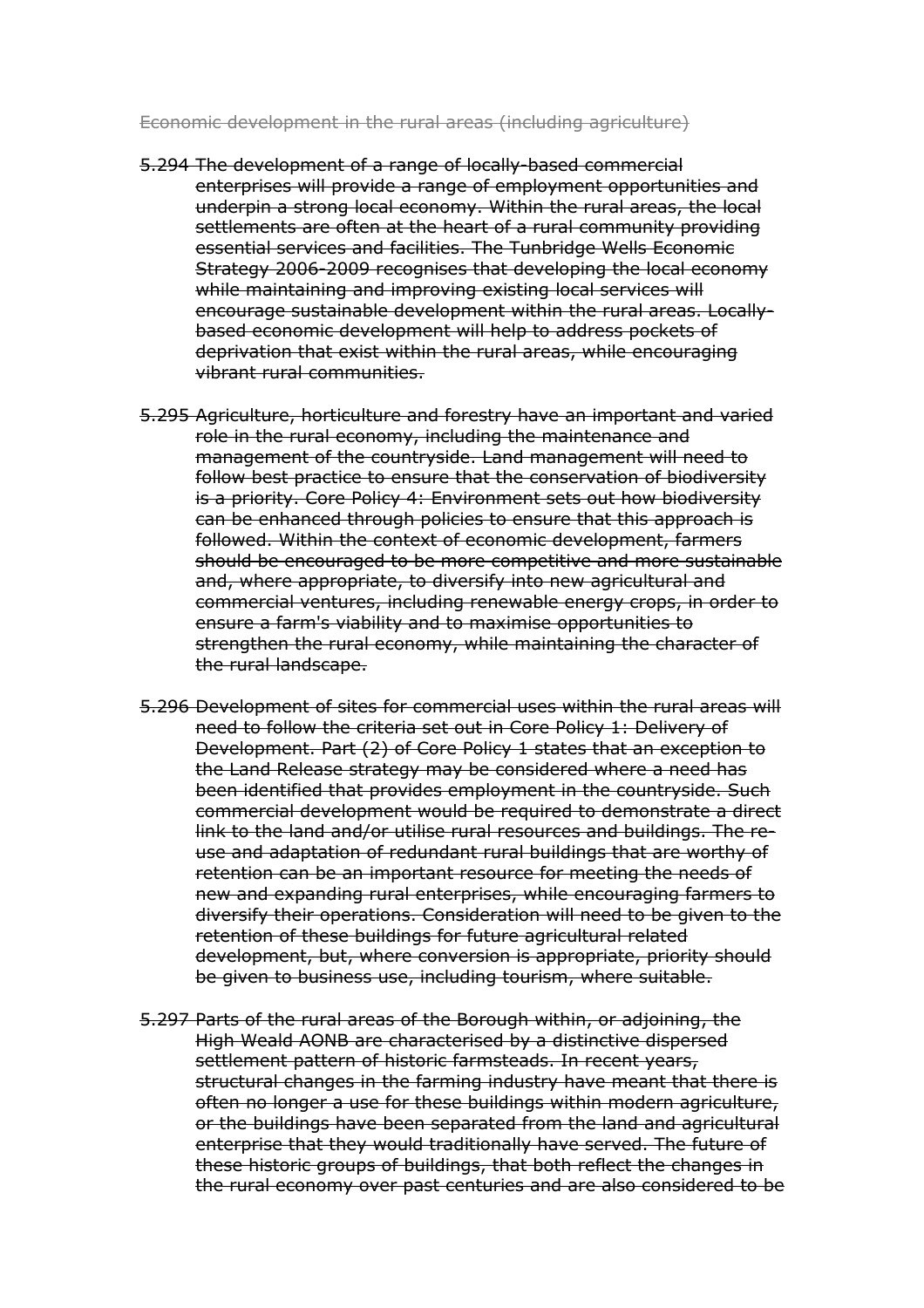Economic development in the rural areas (including agriculture)

- 5.294 The development of a range of locally-based commercial enterprises will provide a range of employment opportunities and underpin a strong local economy. Within the rural areas, the local settlements are often at the heart of a rural community providing essential services and facilities. The Tunbridge Wells Economic Strategy 2006-2009 recognises that developing the local economy while maintaining and improving existing local services will encourage sustainable development within the rural areas. Locally- based economic development will help to address pockets of deprivation that exist within the rural areas, while encouraging vibrant rural communities.
- 5.295 Agriculture, horticulture and forestry have an important and varied role in the rural economy, including the maintenance and management of the countryside. Land management will need to follow best practice to ensure that the conservation of biodiversity is a priority. Core Policy 4: Environment sets out how biodiversity can be enhanced through policies to ensure that this approach is followed. Within the context of economic development, farmers should be encouraged to be more competitive and more sustainable and, where appropriate, to diversify into new agricultural and commercial ventures, including renewable energy crops, in order to ensure a farm's viability and to maximise opportunities to strengthen the rural economy, while maintaining the character of the rural landscape.
- 5.296 Development of sites for commercial uses within the rural areas will need to follow the criteria set out in Core Policy 1: Delivery of Development. Part (2) of Core Policy 1 states that an exception to the Land Release strategy may be considered where a need has been identified that provides employment in the countryside. Such commercial development would be required to demonstrate a direct link to the land and/or utilise rural resources and buildings. The re- use and adaptation of redundant rural buildings that are worthy of retention can be an important resource for meeting the needs of new and expanding rural enterprises, while encouraging farmers to diversify their operations. Consideration will need to be given to the retention of these buildings for future agricultural related development, but, where conversion is appropriate, priority should be given to business use, including tourism, where suitable.
- 5.297 Parts of the rural areas of the Borough within, or adjoining, the High Weald AONB are characterised by a distinctive dispersed settlement pattern of historic farmsteads. In recent years, structural changes in the farming industry have meant that there is often no longer a use for these buildings within modern agriculture, or the buildings have been separated from the land and agricultural enterprise that they would traditionally have served. The future of these historic groups of buildings, that both reflect the changes in the rural economy over past centuries and are also considered to be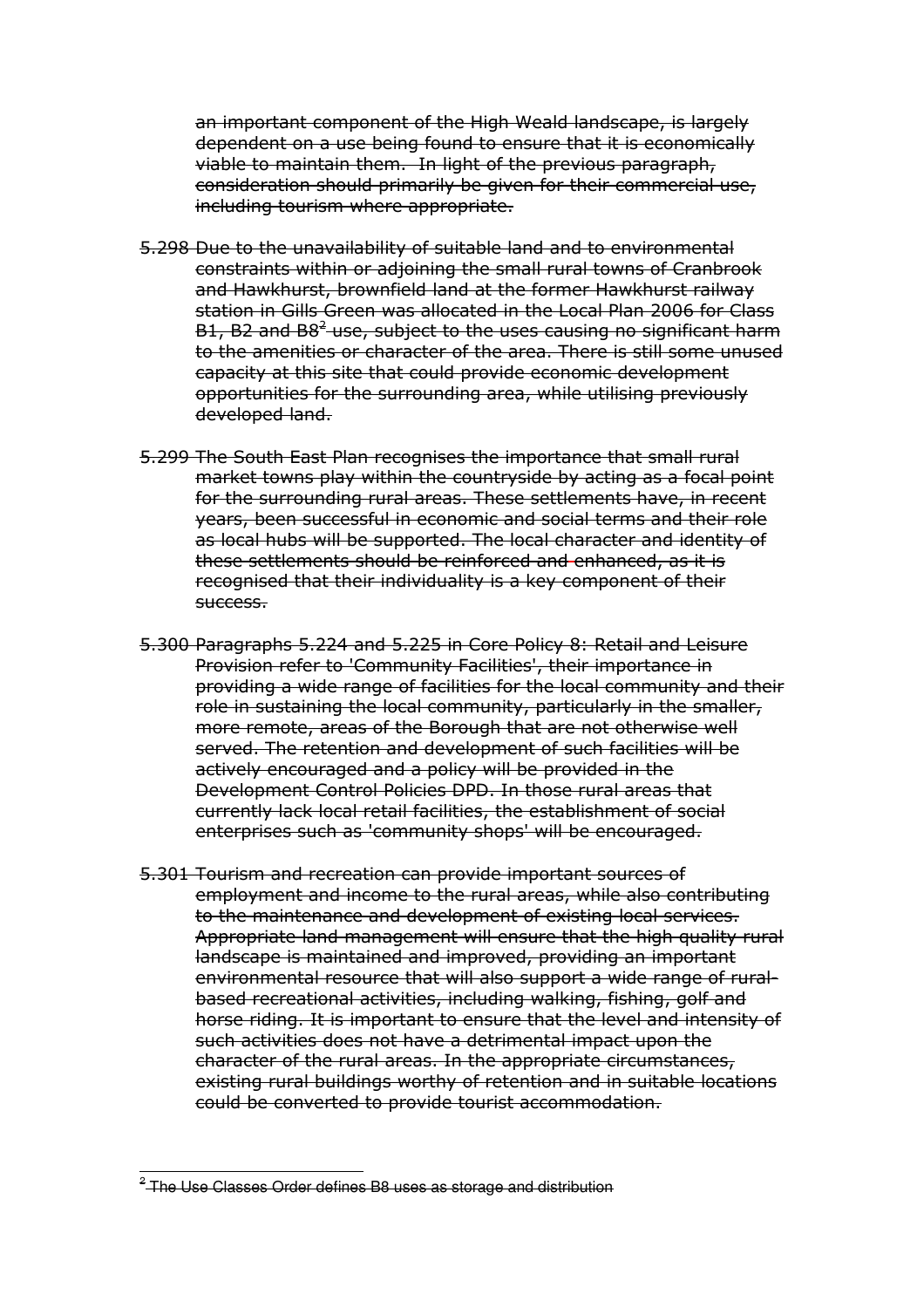an important component of the High Weald landscape, is largely dependent on a use being found to ensure that it is economically viable to maintain them. In light of the previous paragraph, consideration should primarily be given for their commercial use, including tourism where appropriate.

- 5.298 Due to the unavailability of suitable land and to environmental constraints within or adjoining the small rural towns of Cranbrook and Hawkhurst, brownfield land at the former Hawkhurst railway station in Gills Green was allocated in the Local Plan 2006 for Class B1, B2 and B8<sup>2</sup> use, subject to the uses causing no significant harm to the amenities or character of the area. There is still some unused capacity at this site that could provide economic development opportunities for the surrounding area, while utilising previously developed land.
- 5.299 The South East Plan recognises the importance that small rural market towns play within the countryside by acting as a focal point for the surrounding rural areas. These settlements have, in recent years, been successful in economic and social terms and their role as local hubs will be supported. The local character and identity of these settlements should be reinforced and enhanced, as it is recognised that their individuality is a key component of their success.
- 5.300 Paragraphs 5.224 and 5.225 in Core Policy 8: Retail and Leisure Provision refer to 'Community Facilities', their importance in providing a wide range of facilities for the local community and their role in sustaining the local community, particularly in the smaller, more remote, areas of the Borough that are not otherwise well served. The retention and development of such facilities will be actively encouraged and a policy will be provided in the Development Control Policies DPD. In those rural areas that currently lack local retail facilities, the establishment of social enterprises such as 'community shops' will be encouraged.
- 5.301 Tourism and recreation can provide important sources of employment and income to the rural areas, while also contributing to the maintenance and development of existing local services. Appropriate land management will ensure that the high quality rural landscape is maintained and improved, providing an important environmental resource that will also support a wide range of rural- based recreational activities, including walking, fishing, golf and horse riding. It is important to ensure that the level and intensity of such activities does not have a detrimental impact upon the character of the rural areas. In the appropriate circumstances, existing rural buildings worthy of retention and in suitable locations could be converted to provide tourist accommodation.

l  $^{\text{\tiny{2}}}$ -The Use Classes Order defines B8 uses as storage and distribution  $^{\text{\tiny{2}}}$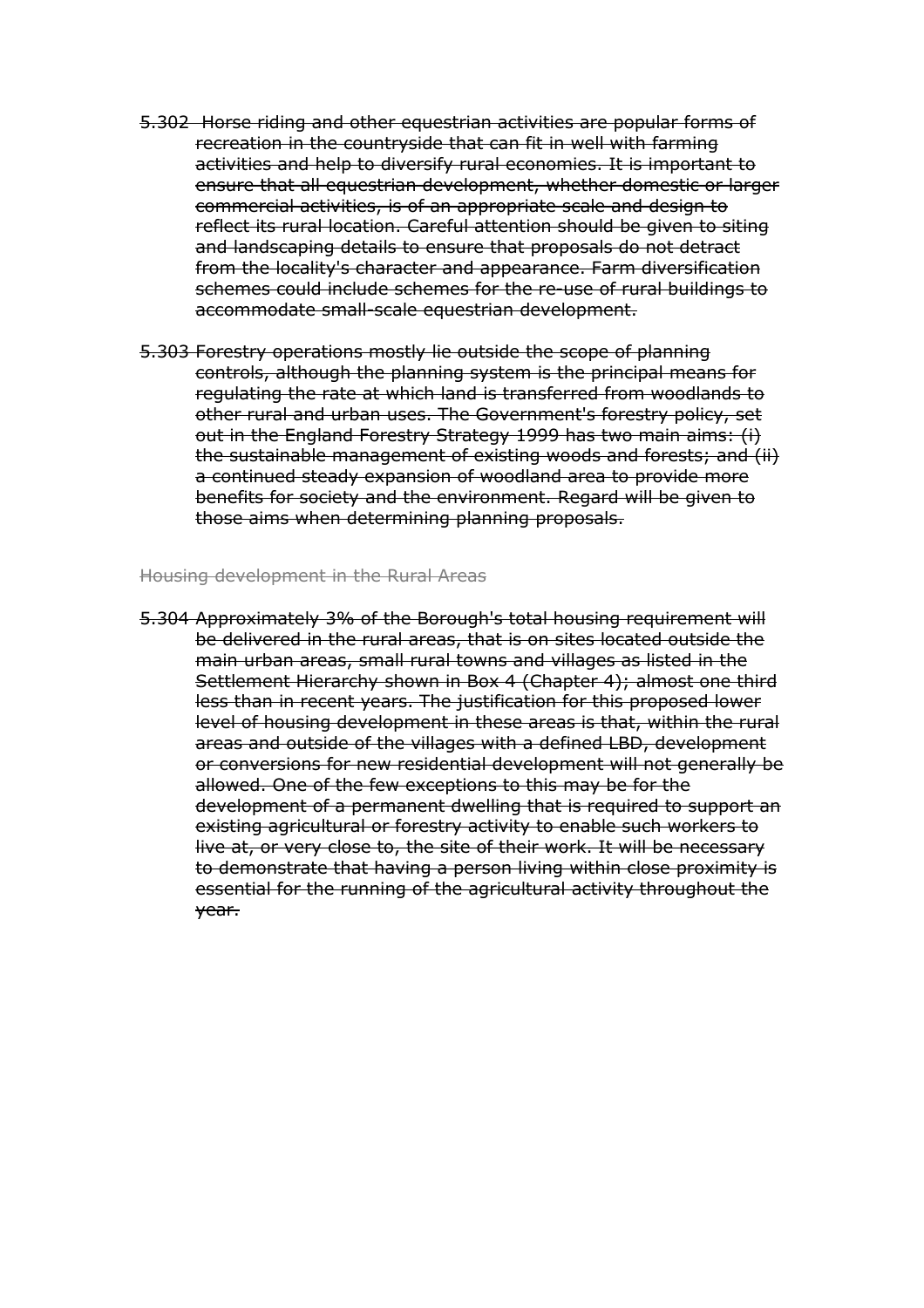- 5.302 Horse riding and other equestrian activities are popular forms of recreation in the countryside that can fit in well with farming activities and help to diversify rural economies. It is important to ensure that all equestrian development, whether domestic or larger commercial activities, is of an appropriate scale and design to reflect its rural location. Careful attention should be given to siting and landscaping details to ensure that proposals do not detract from the locality's character and appearance. Farm diversification schemes could include schemes for the re-use of rural buildings to accommodate small-scale equestrian development.
- 5.303 Forestry operations mostly lie outside the scope of planning controls, although the planning system is the principal means for regulating the rate at which land is transferred from woodlands to other rural and urban uses. The Government's forestry policy, set out in the England Forestry Strategy 1999 has two main aims: (i) the sustainable management of existing woods and forests; and (ii) a continued steady expansion of woodland area to provide more benefits for society and the environment. Regard will be given to those aims when determining planning proposals.

#### Housing development in the Rural Areas

 5.304 Approximately 3% of the Borough's total housing requirement will be delivered in the rural areas, that is on sites located outside the main urban areas, small rural towns and villages as listed in the Settlement Hierarchy shown in Box 4 (Chapter 4); almost one third less than in recent years. The justification for this proposed lower level of housing development in these areas is that, within the rural areas and outside of the villages with a defined LBD, development or conversions for new residential development will not generally be allowed. One of the few exceptions to this may be for the development of a permanent dwelling that is required to support an existing agricultural or forestry activity to enable such workers to live at, or very close to, the site of their work. It will be necessary to demonstrate that having a person living within close proximity is essential for the running of the agricultural activity throughout the year.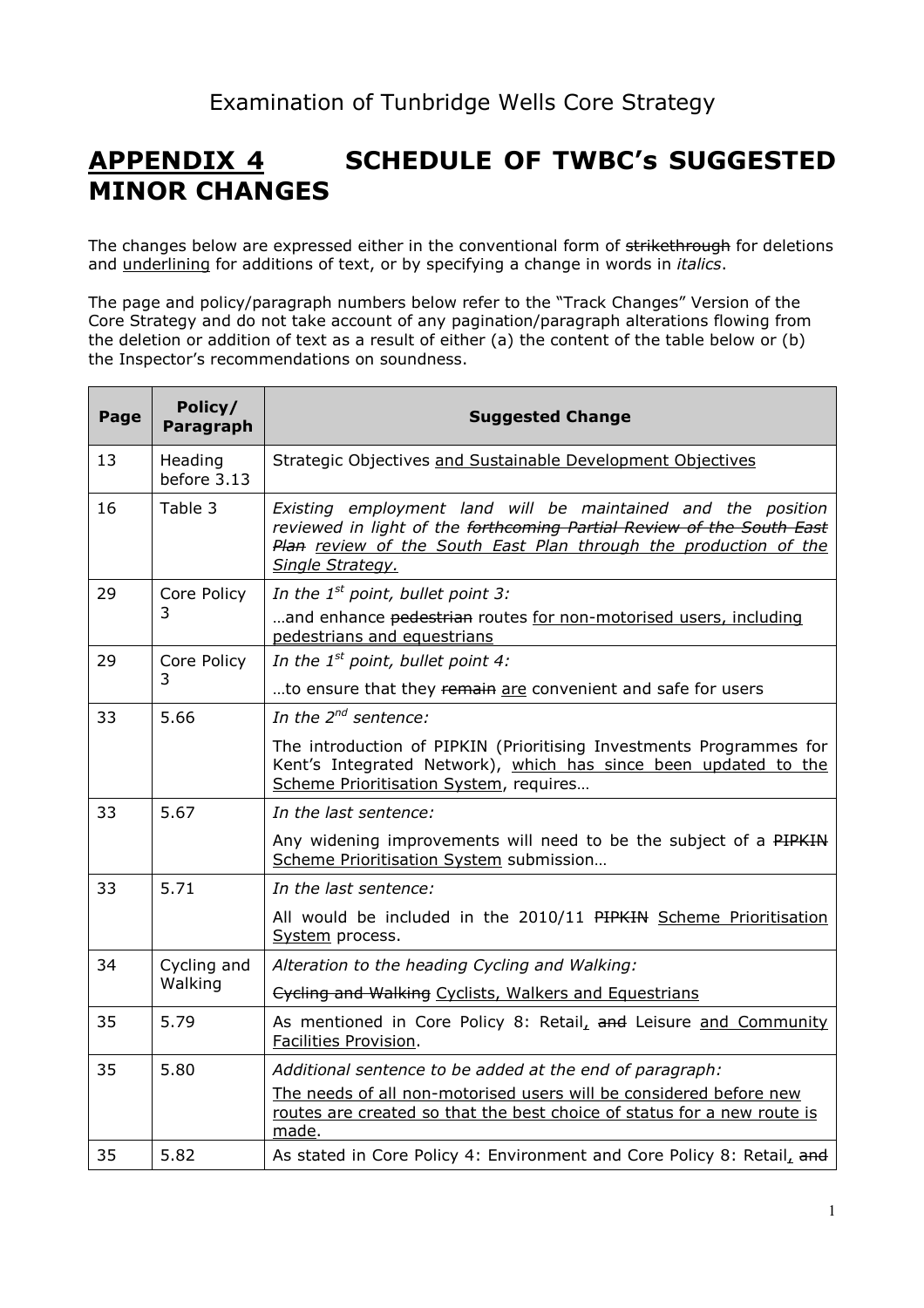### **APPENDIX 4**  MINOR CHANGES **SCHEDULE OF TWBC's SUGGESTED**

The changes below are expressed either in the conventional form of <del>strikethrough</del> for deletions and underlining for additions of text, or by specifying a change in words in *italics*.

 The page and policy/paragraph numbers below refer to the "Track Changes" Version of the Core Strategy and do not take account of any pagination/paragraph alterations flowing from the deletion or addition of text as a result of either (a) the content of the table below or (b) the Inspector's recommendations on soundness.

| Page | Policy/<br>Paragraph   | <b>Suggested Change</b>                                                                                                                                                                                                       |
|------|------------------------|-------------------------------------------------------------------------------------------------------------------------------------------------------------------------------------------------------------------------------|
| 13   | Heading<br>before 3.13 | Strategic Objectives and Sustainable Development Objectives                                                                                                                                                                   |
| 16   | Table 3                | Existing employment land will be maintained and the position<br>reviewed in light of the forthcoming Partial Review of the South East<br>Plan review of the South East Plan through the production of the<br>Single Strategy. |
| 29   | Core Policy<br>3       | In the $1^{st}$ point, bullet point 3:<br>and enhance pedestrian routes for non-motorised users, including<br>pedestrians and equestrians                                                                                     |
| 29   | Core Policy            | In the $1^{st}$ point, bullet point 4:                                                                                                                                                                                        |
|      | 3                      | to ensure that they remain are convenient and safe for users                                                                                                                                                                  |
| 33   | 5.66                   | In the $2^{nd}$ sentence:                                                                                                                                                                                                     |
|      |                        | The introduction of PIPKIN (Prioritising Investments Programmes for<br>Kent's Integrated Network), which has since been updated to the<br>Scheme Prioritisation System, requires                                              |
| 33   | 5.67                   | In the last sentence:                                                                                                                                                                                                         |
|      |                        | Any widening improvements will need to be the subject of a PIPKIN<br>Scheme Prioritisation System submission                                                                                                                  |
| 33   | 5.71                   | In the last sentence:                                                                                                                                                                                                         |
|      |                        | All would be included in the 2010/11 PIPKIN Scheme Prioritisation<br>System process.                                                                                                                                          |
| 34   | Cycling and<br>Walking | Alteration to the heading Cycling and Walking:                                                                                                                                                                                |
|      |                        | Cycling and Walking Cyclists, Walkers and Equestrians                                                                                                                                                                         |
| 35   | 5.79                   | As mentioned in Core Policy 8: Retail, and Leisure and Community<br>Facilities Provision.                                                                                                                                     |
| 35   | 5.80                   | Additional sentence to be added at the end of paragraph:                                                                                                                                                                      |
|      |                        | The needs of all non-motorised users will be considered before new<br>routes are created so that the best choice of status for a new route is<br>made.                                                                        |
| 35   | 5.82                   | As stated in Core Policy 4: Environment and Core Policy 8: Retail, and                                                                                                                                                        |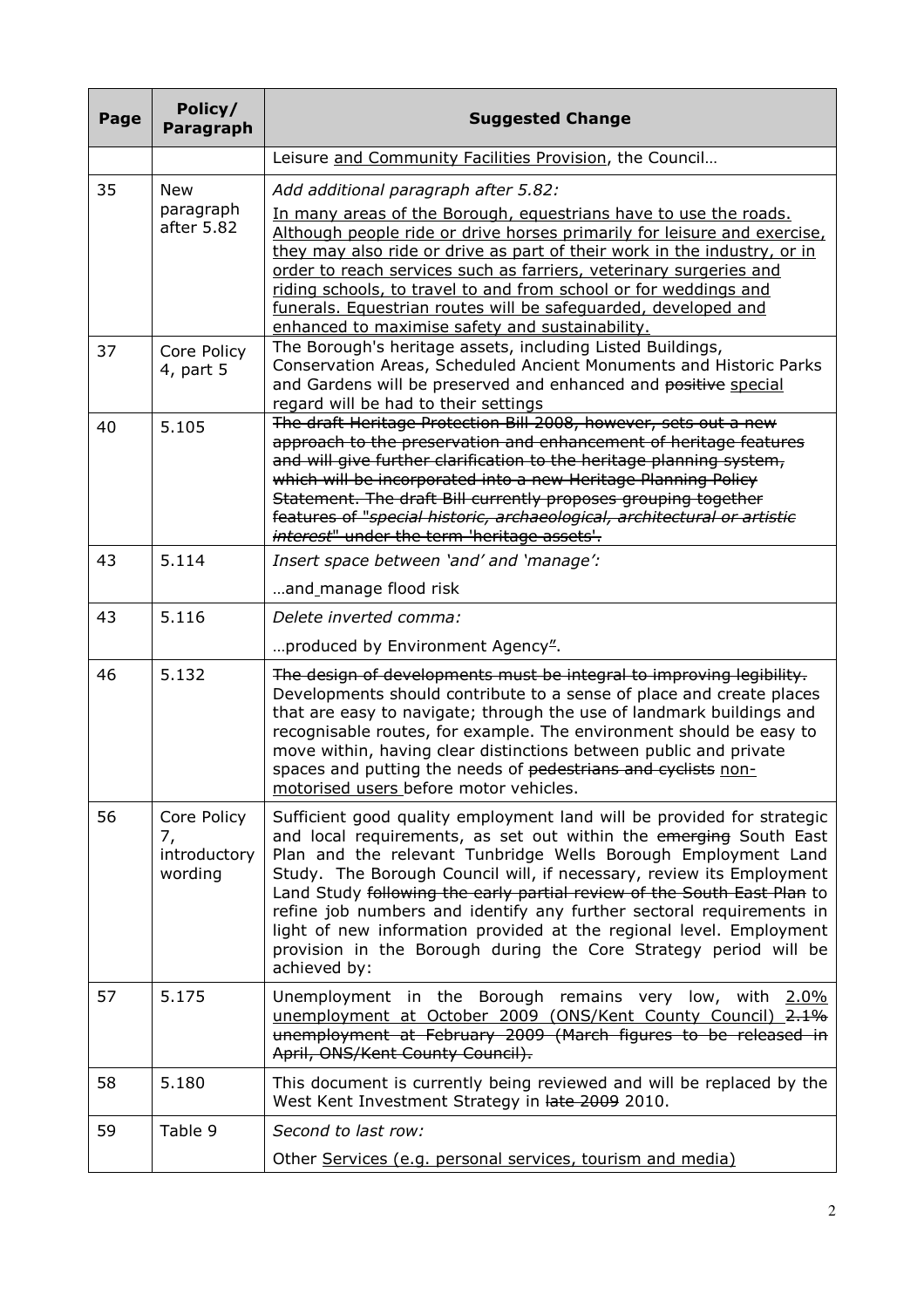| Page | Policy/<br>Paragraph                         | <b>Suggested Change</b>                                                                                                                                                                                                                                                                                                                                                                                                                                                                                                                                                                            |
|------|----------------------------------------------|----------------------------------------------------------------------------------------------------------------------------------------------------------------------------------------------------------------------------------------------------------------------------------------------------------------------------------------------------------------------------------------------------------------------------------------------------------------------------------------------------------------------------------------------------------------------------------------------------|
|      |                                              | Leisure and Community Facilities Provision, the Council                                                                                                                                                                                                                                                                                                                                                                                                                                                                                                                                            |
| 35   | <b>New</b>                                   | Add additional paragraph after 5.82:                                                                                                                                                                                                                                                                                                                                                                                                                                                                                                                                                               |
|      | paragraph<br>after 5.82                      | In many areas of the Borough, equestrians have to use the roads.<br>Although people ride or drive horses primarily for leisure and exercise,<br>they may also ride or drive as part of their work in the industry, or in<br>order to reach services such as farriers, veterinary surgeries and<br>riding schools, to travel to and from school or for weddings and<br>funerals. Equestrian routes will be safequarded, developed and<br>enhanced to maximise safety and sustainability.                                                                                                            |
| 37   | Core Policy<br>4, part 5                     | The Borough's heritage assets, including Listed Buildings,<br>Conservation Areas, Scheduled Ancient Monuments and Historic Parks<br>and Gardens will be preserved and enhanced and positive special<br>regard will be had to their settings                                                                                                                                                                                                                                                                                                                                                        |
| 40   | 5.105                                        | The draft Heritage Protection Bill 2008, however, sets out a new<br>approach to the preservation and enhancement of heritage features<br>and will give further clarification to the heritage planning system,<br>which will be incorporated into a new Heritage Planning Policy<br>Statement. The draft Bill currently proposes grouping together<br>features of "special historic, archaeological, architectural or artistic<br>interest" under the term 'heritage assets'.                                                                                                                       |
| 43   | 5.114                                        | Insert space between 'and' and 'manage':                                                                                                                                                                                                                                                                                                                                                                                                                                                                                                                                                           |
|      |                                              | and_manage flood risk                                                                                                                                                                                                                                                                                                                                                                                                                                                                                                                                                                              |
| 43   | 5.116                                        | Delete inverted comma:                                                                                                                                                                                                                                                                                                                                                                                                                                                                                                                                                                             |
|      |                                              | produced by Environment Agency".                                                                                                                                                                                                                                                                                                                                                                                                                                                                                                                                                                   |
| 46   | 5.132                                        | The design of developments must be integral to improving legibility.<br>Developments should contribute to a sense of place and create places<br>that are easy to navigate; through the use of landmark buildings and<br>recognisable routes, for example. The environment should be easy to<br>move within, having clear distinctions between public and private<br>spaces and putting the needs of pedestrians and cyclists non-<br>motorised users before motor vehicles.                                                                                                                        |
| 56   | Core Policy<br>7,<br>introductory<br>wording | Sufficient good quality employment land will be provided for strategic<br>and local requirements, as set out within the emerging South East<br>Plan and the relevant Tunbridge Wells Borough Employment Land<br>Study. The Borough Council will, if necessary, review its Employment<br>Land Study following the early partial review of the South East Plan to<br>refine job numbers and identify any further sectoral requirements in<br>light of new information provided at the regional level. Employment<br>provision in the Borough during the Core Strategy period will be<br>achieved by: |
| 57   | 5.175                                        | Unemployment in the Borough remains very low, with 2.0%<br>unemployment at October 2009 (ONS/Kent County Council) 2.1%<br>unemployment at February 2009 (March figures to be released in<br>April, ONS/Kent County Council).                                                                                                                                                                                                                                                                                                                                                                       |
| 58   | 5.180                                        | This document is currently being reviewed and will be replaced by the<br>West Kent Investment Strategy in late 2009 2010.                                                                                                                                                                                                                                                                                                                                                                                                                                                                          |
| 59   | Table 9                                      | Second to last row:                                                                                                                                                                                                                                                                                                                                                                                                                                                                                                                                                                                |
|      |                                              | Other Services (e.g. personal services, tourism and media)                                                                                                                                                                                                                                                                                                                                                                                                                                                                                                                                         |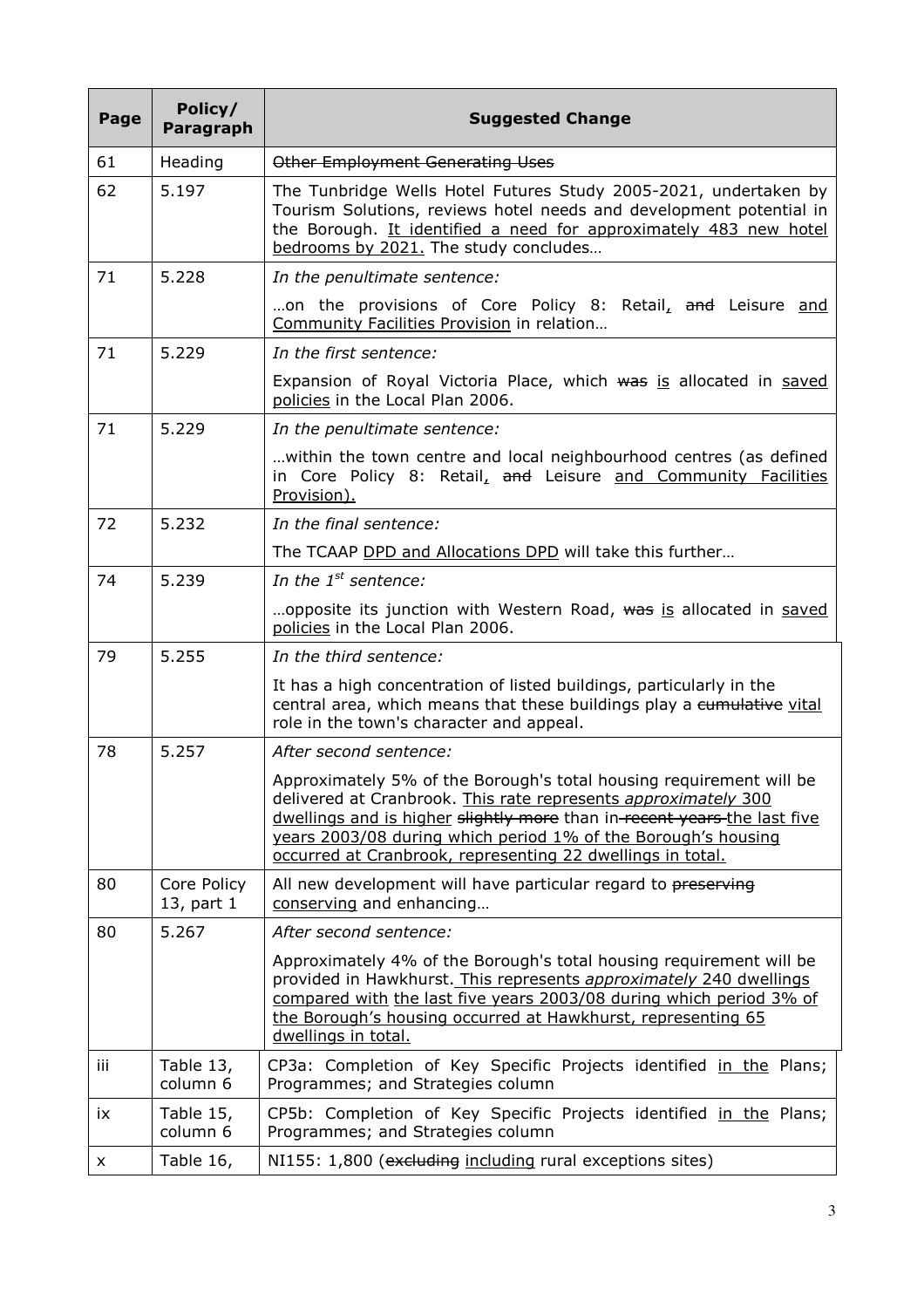| Page | Policy/<br>Paragraph      | <b>Suggested Change</b>                                                                                                                                                                                                                                                                                                                          |
|------|---------------------------|--------------------------------------------------------------------------------------------------------------------------------------------------------------------------------------------------------------------------------------------------------------------------------------------------------------------------------------------------|
| 61   | Heading                   | Other Employment Generating Uses                                                                                                                                                                                                                                                                                                                 |
| 62   | 5.197                     | The Tunbridge Wells Hotel Futures Study 2005-2021, undertaken by<br>Tourism Solutions, reviews hotel needs and development potential in<br>the Borough. It identified a need for approximately 483 new hotel<br>bedrooms by 2021. The study concludes                                                                                            |
| 71   | 5.228                     | In the penultimate sentence:                                                                                                                                                                                                                                                                                                                     |
|      |                           | on the provisions of Core Policy 8: Retail, and Leisure and<br>Community Facilities Provision in relation                                                                                                                                                                                                                                        |
| 71   | 5.229                     | In the first sentence:                                                                                                                                                                                                                                                                                                                           |
|      |                           | Expansion of Royal Victoria Place, which was is allocated in saved<br>policies in the Local Plan 2006.                                                                                                                                                                                                                                           |
| 71   | 5.229                     | In the penultimate sentence:                                                                                                                                                                                                                                                                                                                     |
|      |                           | within the town centre and local neighbourhood centres (as defined<br>in Core Policy 8: Retail, and Leisure and Community Facilities<br>Provision).                                                                                                                                                                                              |
| 72   | 5.232                     | In the final sentence:                                                                                                                                                                                                                                                                                                                           |
|      |                           | The TCAAP DPD and Allocations DPD will take this further                                                                                                                                                                                                                                                                                         |
| 74   | 5.239                     | In the $1^{st}$ sentence:                                                                                                                                                                                                                                                                                                                        |
|      |                           | opposite its junction with Western Road, was is allocated in saved<br>policies in the Local Plan 2006.                                                                                                                                                                                                                                           |
| 79   | 5.255                     | In the third sentence:                                                                                                                                                                                                                                                                                                                           |
|      |                           | It has a high concentration of listed buildings, particularly in the<br>central area, which means that these buildings play a cumulative vital<br>role in the town's character and appeal.                                                                                                                                                       |
| 78   | 5.257                     | After second sentence:                                                                                                                                                                                                                                                                                                                           |
|      |                           | Approximately 5% of the Borough's total housing requirement will be<br>delivered at Cranbrook. This rate represents approximately 300<br>dwellings and is higher slightly more than in-recent years-the last five<br>years 2003/08 during which period 1% of the Borough's housing<br>occurred at Cranbrook, representing 22 dwellings in total. |
| 80   | Core Policy<br>13, part 1 | All new development will have particular regard to preserving<br>conserving and enhancing                                                                                                                                                                                                                                                        |
| 80   | 5.267                     | After second sentence:                                                                                                                                                                                                                                                                                                                           |
|      |                           | Approximately 4% of the Borough's total housing requirement will be<br>provided in Hawkhurst. This represents approximately 240 dwellings<br>compared with the last five years 2003/08 during which period 3% of<br>the Borough's housing occurred at Hawkhurst, representing 65<br>dwellings in total.                                          |
| iii  | Table 13,<br>column 6     | CP3a: Completion of Key Specific Projects identified in the Plans;<br>Programmes; and Strategies column                                                                                                                                                                                                                                          |
| ix   | Table 15,<br>column 6     | CP5b: Completion of Key Specific Projects identified in the Plans;<br>Programmes; and Strategies column                                                                                                                                                                                                                                          |
| X    | Table 16,                 | NI155: 1,800 (excluding including rural exceptions sites)                                                                                                                                                                                                                                                                                        |